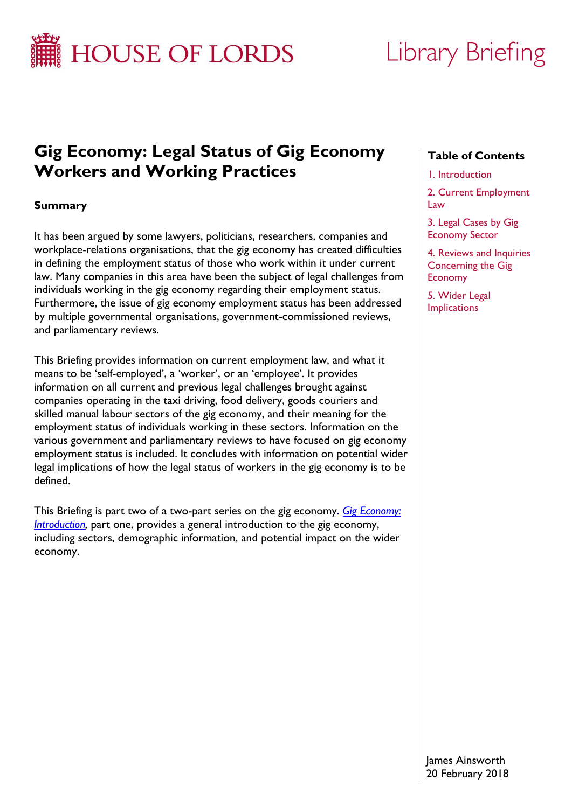

# Library Briefing

# **Gig Economy: Legal Status of Gig Economy Workers and Working Practices**

# **Summary**

It has been argued by some lawyers, politicians, researchers, companies and workplace-relations organisations, that the gig economy has created difficulties in defining the employment status of those who work within it under current law. Many companies in this area have been the subject of legal challenges from individuals working in the gig economy regarding their employment status. Furthermore, the issue of gig economy employment status has been addressed by multiple governmental organisations, government-commissioned reviews, and parliamentary reviews.

This Briefing provides information on current employment law, and what it means to be 'self-employed', a 'worker', or an 'employee'. It provides information on all current and previous legal challenges brought against companies operating in the taxi driving, food delivery, goods couriers and skilled manual labour sectors of the gig economy, and their meaning for the employment status of individuals working in these sectors. Information on the various government and parliamentary reviews to have focused on gig economy employment status is included. It concludes with information on potential wider legal implications of how the legal status of workers in the gig economy is to be defined.

This Briefing is part two of a two-part series on the gig economy. *[Gig Economy:](http://researchbriefings.parliament.uk/ResearchBriefing/Summary/LLN-2017-0086)  Introduction*, part one, provides a general introduction to the gig economy, including sectors, demographic information, and potential impact on the wider economy.

# **Table of Contents**

#### 1. Introduction

2. Current Employment Law

3. Legal Cases by Gig Economy Sector

4. Reviews and Inquiries Concerning the Gig Economy

5. Wider Legal Implications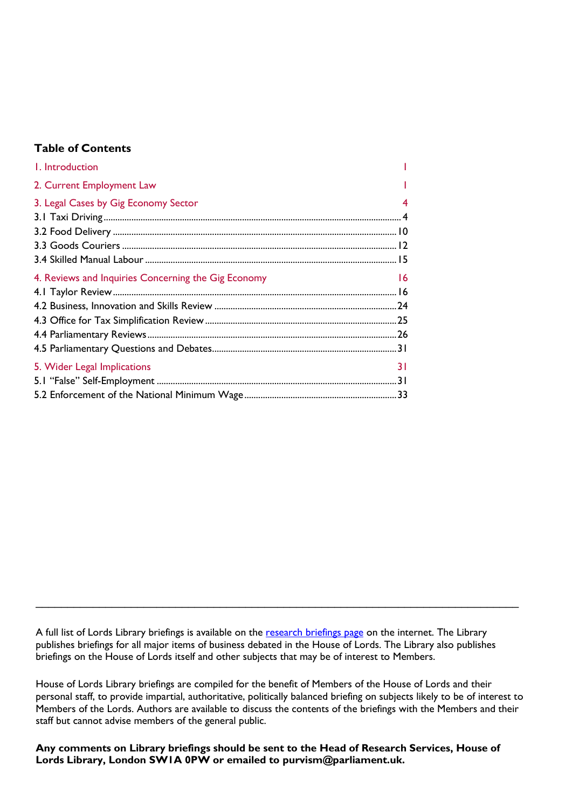#### **Table of Contents**

| I. Introduction                                     |     |
|-----------------------------------------------------|-----|
| 2. Current Employment Law                           |     |
| 3. Legal Cases by Gig Economy Sector                |     |
|                                                     |     |
|                                                     |     |
|                                                     |     |
|                                                     |     |
| 4. Reviews and Inquiries Concerning the Gig Economy | -16 |
|                                                     |     |
|                                                     |     |
|                                                     |     |
|                                                     |     |
|                                                     |     |
| 5. Wider Legal Implications                         | 31  |
|                                                     |     |
|                                                     |     |

A full list of Lords Library briefings is available on the [research briefings page](http://researchbriefings.parliament.uk/) on the internet. The Library publishes briefings for all major items of business debated in the House of Lords. The Library also publishes briefings on the House of Lords itself and other subjects that may be of interest to Members.

\_\_\_\_\_\_\_\_\_\_\_\_\_\_\_\_\_\_\_\_\_\_\_\_\_\_\_\_\_\_\_\_\_\_\_\_\_\_\_\_\_\_\_\_\_\_\_\_\_\_\_\_\_\_\_\_\_\_\_\_\_\_\_\_\_\_\_\_\_\_\_\_\_\_\_\_

House of Lords Library briefings are compiled for the benefit of Members of the House of Lords and their personal staff, to provide impartial, authoritative, politically balanced briefing on subjects likely to be of interest to Members of the Lords. Authors are available to discuss the contents of the briefings with the Members and their staff but cannot advise members of the general public.

**Any comments on Library briefings should be sent to the Head of Research Services, House of Lords Library, London SW1A 0PW or emailed to [purvism@parliament.uk.](mailto:purvism@parliament.uk)**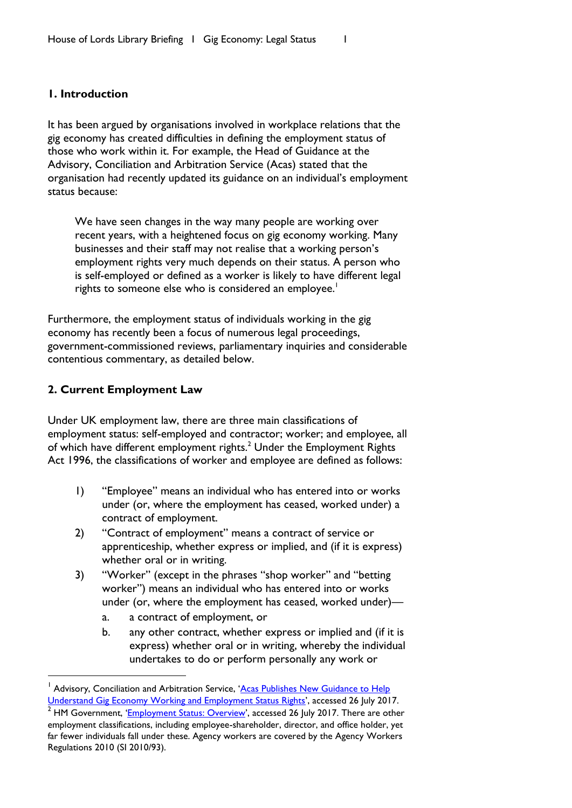#### <span id="page-2-0"></span>**1. Introduction**

It has been argued by organisations involved in workplace relations that the gig economy has created difficulties in defining the employment status of those who work within it. For example, the Head of Guidance at the Advisory, Conciliation and Arbitration Service (Acas) stated that the organisation had recently updated its guidance on an individual's employment status because:

We have seen changes in the way many people are working over recent years, with a heightened focus on gig economy working. Many businesses and their staff may not realise that a working person's employment rights very much depends on their status. A person who is self-employed or defined as a worker is likely to have different legal rights to someone else who is considered an employee.<sup>1</sup>

Furthermore, the employment status of individuals working in the gig economy has recently been a focus of numerous legal proceedings, government-commissioned reviews, parliamentary inquiries and considerable contentious commentary, as detailed below.

#### <span id="page-2-1"></span>**2. Current Employment Law**

 $\overline{a}$ 

Under UK employment law, there are three main classifications of employment status: self-employed and contractor; worker; and employee, all of which have different employment rights.<sup>2</sup> Under the Employment Rights Act 1996, the classifications of worker and employee are defined as follows:

- 1) "Employee" means an individual who has entered into or works under (or, where the employment has ceased, worked under) a contract of employment.
- 2) "Contract of employment" means a contract of service or apprenticeship, whether express or implied, and (if it is express) whether oral or in writing.
- 3) "Worker" (except in the phrases "shop worker" and "betting worker") means an individual who has entered into or works under (or, where the employment has ceased, worked under)
	- a. a contract of employment, or
	- b. any other contract, whether express or implied and (if it is express) whether oral or in writing, whereby the individual undertakes to do or perform personally any work or

<sup>1</sup> Advisory, Conciliation and Arbitration Service, '[Acas Publishes New Guidance to Help](http://www.acas.org.uk/index.aspx?articleid=5967)  [Understand Gig Economy Working and Employment Status Rights](http://www.acas.org.uk/index.aspx?articleid=5967)', accessed 26 July 2017.

<sup>&</sup>lt;sup>2</sup> HM Government, '*[Employment Status: Overview](https://www.gov.uk/employment-status)*', accessed 26 July 2017. There are other employment classifications, including employee-shareholder, director, and office holder, yet far fewer individuals fall under these. Agency workers are covered by the Agency Workers Regulations 2010 (SI 2010/93).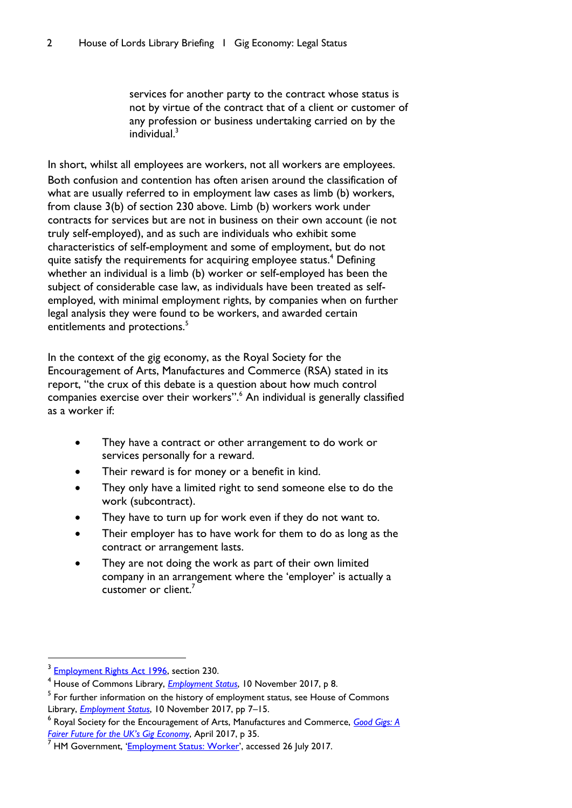services for another party to the contract whose status is not by virtue of the contract that of a client or customer of any profession or business undertaking carried on by the individual.<sup>3</sup>

In short, whilst all employees are workers, not all workers are employees. Both confusion and contention has often arisen around the classification of what are usually referred to in employment law cases as limb (b) workers, from clause 3(b) of section 230 above. Limb (b) workers work under contracts for services but are not in business on their own account (ie not truly self-employed), and as such are individuals who exhibit some characteristics of self-employment and some of employment, but do not quite satisfy the requirements for acquiring employee status.<sup>4</sup> Defining whether an individual is a limb (b) worker or self-employed has been the subject of considerable case law, as individuals have been treated as selfemployed, with minimal employment rights, by companies when on further legal analysis they were found to be workers, and awarded certain entitlements and protections.<sup>5</sup>

In the context of the gig economy, as the Royal Society for the Encouragement of Arts, Manufactures and Commerce (RSA) stated in its report, "the crux of this debate is a question about how much control companies exercise over their workers".<sup>6</sup> An individual is generally classified as a worker if:

- They have a contract or other arrangement to do work or services personally for a reward.
- Their reward is for money or a benefit in kind.
- They only have a limited right to send someone else to do the work (subcontract).
- They have to turn up for work even if they do not want to.
- Their employer has to have work for them to do as long as the contract or arrangement lasts.
- They are not doing the work as part of their own limited company in an arrangement where the 'employer' is actually a customer or client.<sup>7</sup>

<sup>3</sup> [Employment Rights Act 1996,](http://www.legislation.gov.uk/ukpga/1996/18/section/230) section 230.

<sup>4</sup> House of Commons Library, *[Employment Status](http://researchbriefings.files.parliament.uk/documents/CBP-8045/CBP-8045.pdf)*, 10 November 2017, p 8.

 $^5$  For further information on the history of employment status, see House of Commons Library, *[Employment Status](http://researchbriefings.files.parliament.uk/documents/CBP-8045/CBP-8045.pdf)*, 10 November 2017, pp 7–15.

<sup>6</sup> Royal Society for the Encouragement of Arts, Manufactures and Commerce, *[Good Gigs: A](https://www.thersa.org/globalassets/pdfs/reports/rsa_good-gigs-fairer-gig-economy-report.pdf)  [Fairer Future for the U](https://www.thersa.org/globalassets/pdfs/reports/rsa_good-gigs-fairer-gig-economy-report.pdf)K's Gig Economy*, April 2017, p 35.

HM Government, '[Employment Status: Worker](https://www.gov.uk/employment-status/worker)', accessed 26 July 2017.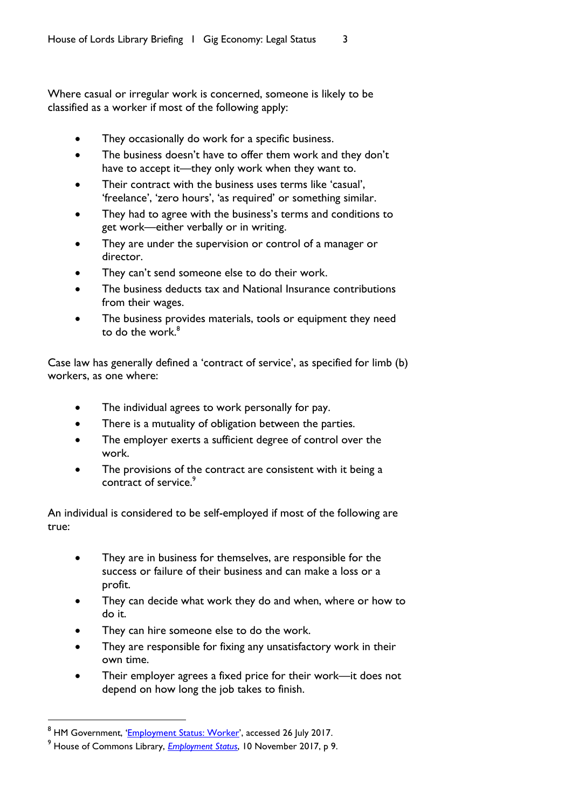Where casual or irregular work is concerned, someone is likely to be classified as a worker if most of the following apply:

- They occasionally do work for a specific business.
- The business doesn't have to offer them work and they don't have to accept it—they only work when they want to.
- Their contract with the business uses terms like 'casual', 'freelance', 'zero hours', 'as required' or something similar.
- They had to agree with the business's terms and conditions to get work—either verbally or in writing.
- They are under the supervision or control of a manager or director.
- They can't send someone else to do their work.
- The business deducts tax and National Insurance contributions from their wages.
- The business provides materials, tools or equipment they need to do the work. 8

Case law has generally defined a 'contract of service', as specified for limb (b) workers, as one where:

- The individual agrees to work personally for pay.
- There is a mutuality of obligation between the parties.
- The employer exerts a sufficient degree of control over the work.
- The provisions of the contract are consistent with it being a contract of service.<sup>9</sup>

An individual is considered to be self-employed if most of the following are true:

- They are in business for themselves, are responsible for the success or failure of their business and can make a loss or a profit.
- They can decide what work they do and when, where or how to do it.
- They can hire someone else to do the work.
- They are responsible for fixing any unsatisfactory work in their own time.
- Their employer agrees a fixed price for their work—it does not depend on how long the job takes to finish.

<sup>&</sup>lt;sup>8</sup> HM Government, '[Employment Status: Worker](https://www.gov.uk/employment-status/worker)', accessed 26 July 2017.

<sup>9</sup> House of Commons Library, *[Employment Status](http://researchbriefings.files.parliament.uk/documents/CBP-8045/CBP-8045.pdf)*, 10 November 2017, p 9.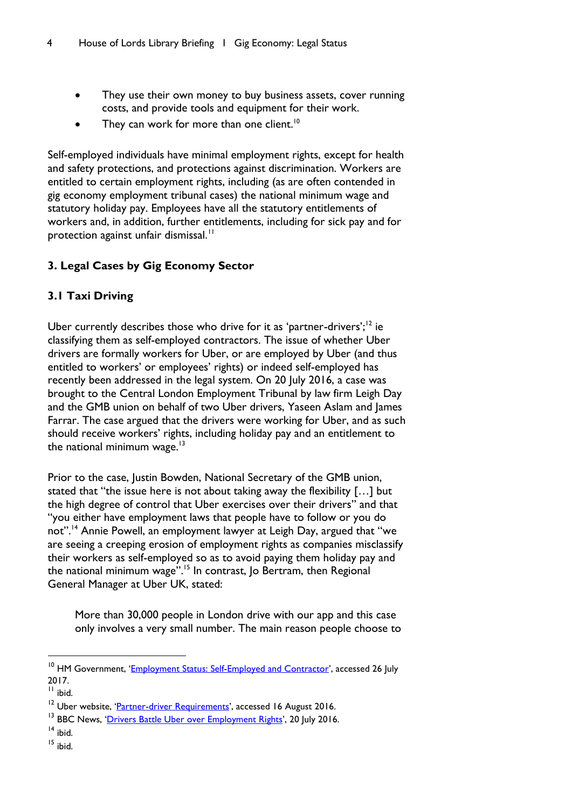- They use their own money to buy business assets, cover running costs, and provide tools and equipment for their work.
- They can work for more than one client.<sup>10</sup>

Self-employed individuals have minimal employment rights, except for health and safety protections, and protections against discrimination. Workers are entitled to certain employment rights, including (as are often contended in gig economy employment tribunal cases) the national minimum wage and statutory holiday pay. Employees have all the statutory entitlements of workers and, in addition, further entitlements, including for sick pay and for protection against unfair dismissal.<sup>11</sup>

# <span id="page-5-0"></span>**3. Legal Cases by Gig Economy Sector**

# <span id="page-5-1"></span>**3.1 Taxi Driving**

Uber currently describes those who drive for it as 'partner-drivers';<sup>12</sup> ie classifying them as self-employed contractors. The issue of whether Uber drivers are formally workers for Uber, or are employed by Uber (and thus entitled to workers' or employees' rights) or indeed self-employed has recently been addressed in the legal system. On 20 July 2016, a case was brought to the Central London Employment Tribunal by law firm Leigh Day and the GMB union on behalf of two Uber drivers, Yaseen Aslam and James Farrar. The case argued that the drivers were working for Uber, and as such should receive workers' rights, including holiday pay and an entitlement to the national minimum wage. $13$ 

Prior to the case, Justin Bowden, National Secretary of the GMB union, stated that "the issue here is not about taking away the flexibility […] but the high degree of control that Uber exercises over their drivers" and that "you either have employment laws that people have to follow or you do not".<sup>14</sup> Annie Powell, an employment lawyer at Leigh Day, argued that "we are seeing a creeping erosion of employment rights as companies misclassify their workers as self-employed so as to avoid paying them holiday pay and the national minimum wage".<sup>15</sup> In contrast, Jo Bertram, then Regional General Manager at Uber UK, stated:

More than 30,000 people in London drive with our app and this case only involves a very small number. The main reason people choose to

<sup>&</sup>lt;sup>10</sup> HM Government, '[Employment Status: Self-Employed and Contractor](https://www.gov.uk/employment-status/selfemployed-contractor)', accessed 26 July 2017.

 $<sup>11</sup>$  ibid.</sup>

<sup>&</sup>lt;sup>12</sup> Uber website, '*[Partner-driver Requirements](https://www.uber.com/en-GB/drive/requirements/)'*, accessed 16 August 2016.

<sup>&</sup>lt;sup>13</sup> BBC News, '[Drivers Battle Uber over Employment Rights](http://www.bbc.co.uk/news/business-36843386)', 20 July 2016.

 $14$  ibid.

<sup>15</sup> ibid.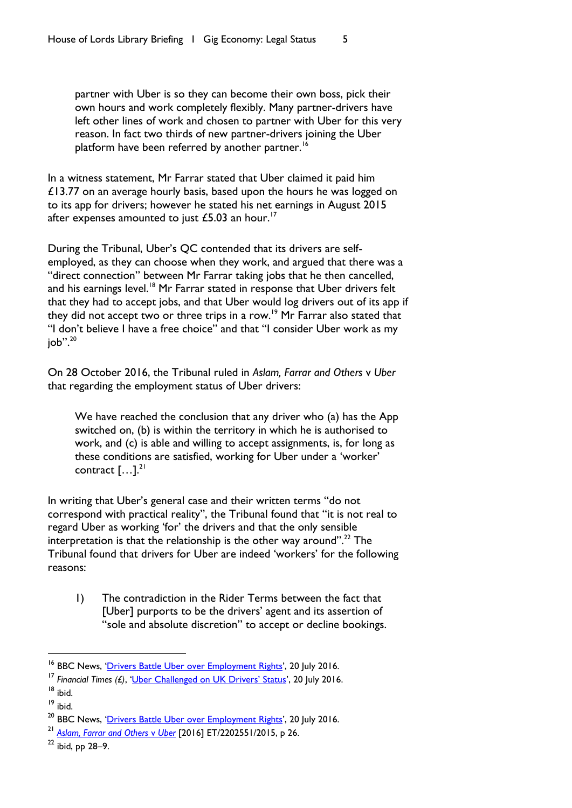partner with Uber is so they can become their own boss, pick their own hours and work completely flexibly. Many partner-drivers have left other lines of work and chosen to partner with Uber for this very reason. In fact two thirds of new partner-drivers joining the Uber platform have been referred by another partner.<sup>16</sup>

In a witness statement, Mr Farrar stated that Uber claimed it paid him  $£13.77$  on an average hourly basis, based upon the hours he was logged on to its app for drivers; however he stated his net earnings in August 2015 after expenses amounted to just  $£5.03$  an hour.<sup>17</sup>

During the Tribunal, Uber's QC contended that its drivers are selfemployed, as they can choose when they work, and argued that there was a "direct connection" between Mr Farrar taking jobs that he then cancelled, and his earnings level.<sup>18</sup> Mr Farrar stated in response that Uber drivers felt that they had to accept jobs, and that Uber would log drivers out of its app if they did not accept two or three trips in a row.<sup>19</sup> Mr Farrar also stated that "I don't believe I have a free choice" and that "I consider Uber work as my  $job$ ". $20$ 

On 28 October 2016, the Tribunal ruled in *Aslam, Farrar and Others* v *Uber* that regarding the employment status of Uber drivers:

We have reached the conclusion that any driver who (a) has the App switched on, (b) is within the territory in which he is authorised to work, and (c) is able and willing to accept assignments, is, for long as these conditions are satisfied, working for Uber under a 'worker' contract  $[\dots]$ <sup>21</sup>

In writing that Uber's general case and their written terms "do not correspond with practical reality", the Tribunal found that "it is not real to regard Uber as working 'for' the drivers and that the only sensible interpretation is that the relationship is the other way around".<sup>22</sup> The Tribunal found that drivers for Uber are indeed 'workers' for the following reasons:

1) The contradiction in the Rider Terms between the fact that [Uber] purports to be the drivers' agent and its assertion of "sole and absolute discretion" to accept or decline bookings.

 $\overline{a}$ 

<sup>&</sup>lt;sup>16</sup> BBC News, '[Drivers Battle Uber over Employment Rights](http://www.bbc.co.uk/news/business-36843386)', 20 July 2016.

<sup>&</sup>lt;sup>17</sup> Financial Times (£), ['Uber Challenged on UK Drivers' Status'](https://www.ft.com/content/2bedda7a-4e7e-11e6-88c5-db83e98a590a), 20 July 2016.

<sup>18</sup> ibid.

<sup>19</sup> ibid.

<sup>&</sup>lt;sup>20</sup> BBC News, '[Drivers Battle Uber over Employment Rights](http://www.bbc.co.uk/news/business-36843386)', 20 July 2016.

<sup>21</sup> *Aslam, [Farrar and Others](https://www.judiciary.gov.uk/wp-content/uploads/2016/10/aslam-and-farrar-v-uber-employment-judgment-20161028-2.pdf)* v *Uber* [2016] ET/2202551/2015, p 26.

 $22$  ibid, pp 28-9.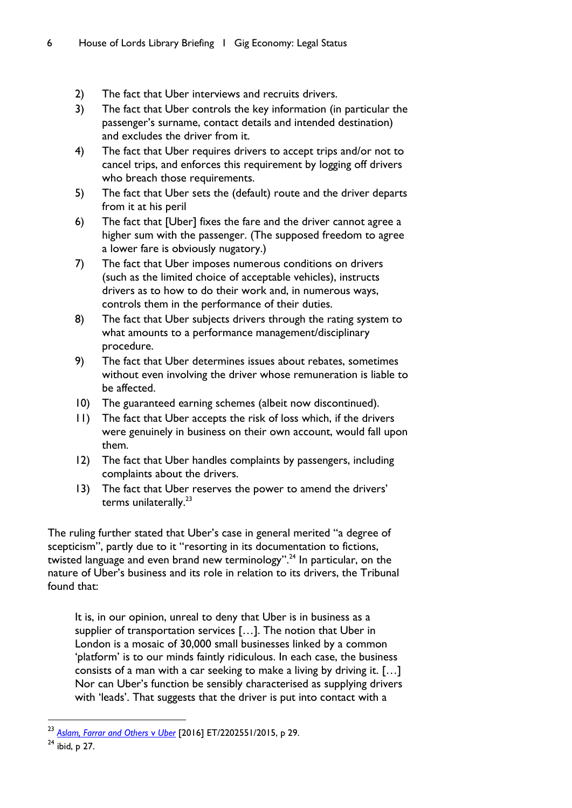- 2) The fact that Uber interviews and recruits drivers.
- 3) The fact that Uber controls the key information (in particular the passenger's surname, contact details and intended destination) and excludes the driver from it.
- 4) The fact that Uber requires drivers to accept trips and/or not to cancel trips, and enforces this requirement by logging off drivers who breach those requirements.
- 5) The fact that Uber sets the (default) route and the driver departs from it at his peril
- 6) The fact that [Uber] fixes the fare and the driver cannot agree a higher sum with the passenger. (The supposed freedom to agree a lower fare is obviously nugatory.)
- 7) The fact that Uber imposes numerous conditions on drivers (such as the limited choice of acceptable vehicles), instructs drivers as to how to do their work and, in numerous ways, controls them in the performance of their duties.
- 8) The fact that Uber subjects drivers through the rating system to what amounts to a performance management/disciplinary procedure.
- 9) The fact that Uber determines issues about rebates, sometimes without even involving the driver whose remuneration is liable to be affected.
- 10) The guaranteed earning schemes (albeit now discontinued).
- 11) The fact that Uber accepts the risk of loss which, if the drivers were genuinely in business on their own account, would fall upon them.
- 12) The fact that Uber handles complaints by passengers, including complaints about the drivers.
- 13) The fact that Uber reserves the power to amend the drivers' terms unilaterally.<sup>23</sup>

The ruling further stated that Uber's case in general merited "a degree of scepticism", partly due to it "resorting in its documentation to fictions, twisted language and even brand new terminology".<sup>24</sup> In particular, on the nature of Uber's business and its role in relation to its drivers, the Tribunal found that:

It is, in our opinion, unreal to deny that Uber is in business as a supplier of transportation services […]. The notion that Uber in London is a mosaic of 30,000 small businesses linked by a common 'platform' is to our minds faintly ridiculous. In each case, the business consists of a man with a car seeking to make a living by driving it. […] Nor can Uber's function be sensibly characterised as supplying drivers with 'leads'. That suggests that the driver is put into contact with a

<sup>23</sup> *[Aslam, Farrar and Others](https://www.judiciary.gov.uk/wp-content/uploads/2016/10/aslam-and-farrar-v-uber-employment-judgment-20161028-2.pdf)* v *Uber* [2016] ET/2202551/2015, p 29.

<sup>24</sup> ibid, p 27.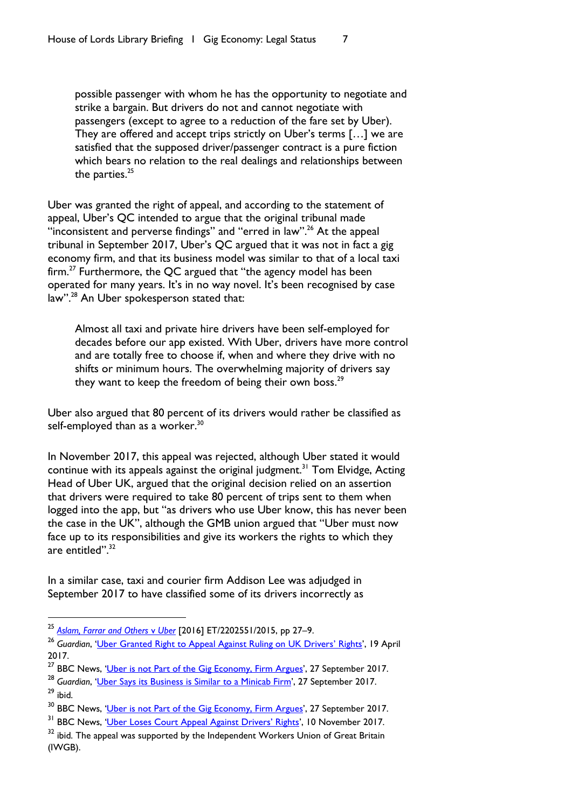possible passenger with whom he has the opportunity to negotiate and strike a bargain. But drivers do not and cannot negotiate with passengers (except to agree to a reduction of the fare set by Uber). They are offered and accept trips strictly on Uber's terms […] we are satisfied that the supposed driver/passenger contract is a pure fiction which bears no relation to the real dealings and relationships between the parties. $25$ 

Uber was granted the right of appeal, and according to the statement of appeal, Uber's QC intended to argue that the original tribunal made "inconsistent and perverse findings" and "erred in law".<sup>26</sup> At the appeal tribunal in September 2017, Uber's QC argued that it was not in fact a gig economy firm, and that its business model was similar to that of a local taxi firm.<sup>27</sup> Furthermore, the QC argued that "the agency model has been operated for many years. It's in no way novel. It's been recognised by case law".<sup>28</sup> An Uber spokesperson stated that:

Almost all taxi and private hire drivers have been self-employed for decades before our app existed. With Uber, drivers have more control and are totally free to choose if, when and where they drive with no shifts or minimum hours. The overwhelming majority of drivers say they want to keep the freedom of being their own boss.<sup>29</sup>

Uber also argued that 80 percent of its drivers would rather be classified as self-employed than as a worker.<sup>30</sup>

In November 2017, this appeal was rejected, although Uber stated it would continue with its appeals against the original judgment.<sup>31</sup> Tom Elvidge, Acting Head of Uber UK, argued that the original decision relied on an assertion that drivers were required to take 80 percent of trips sent to them when logged into the app, but "as drivers who use Uber know, this has never been the case in the UK", although the GMB union argued that "Uber must now face up to its responsibilities and give its workers the rights to which they are entitled".<sup>32</sup>

In a similar case, taxi and courier firm Addison Lee was adjudged in September 2017 to have classified some of its drivers incorrectly as

 $\overline{a}$ 

<sup>28</sup> *Guardian*, '[Uber Says its Business is Similar](https://www.theguardian.com/technology/2017/sep/27/uber-says-its-business-is-similar-to-a-minicab-firm) to a Minicab Firm', 27 September 2017.  $29$  ibid.

<sup>25</sup> *[Aslam, Farrar and Others](https://www.judiciary.gov.uk/wp-content/uploads/2016/10/aslam-and-farrar-v-uber-employment-judgment-20161028-2.pdf)* v *Uber* [2016] ET/2202551/2015, pp 27–9.

<sup>&</sup>lt;sup>26</sup> Guardian, '[Uber Granted Right to Appeal Against Ruling on UK Drivers](https://www.theguardian.com/technology/2017/apr/19/uber-appeal-uk-employment-ruling-drivers-working-rights)' Rights', 19 April 2017.

<sup>&</sup>lt;sup>27</sup> BBC News, '[Uber is not Part of the Gig Economy, Firm Argues](http://www.bbc.co.uk/news/business-41400745)', 27 September 2017.

<sup>&</sup>lt;sup>30</sup> BBC News, '[Uber is not Part of the Gig Economy, Firm Argues](http://www.bbc.co.uk/news/business-41400745)', 27 September 2017.

<sup>&</sup>lt;sup>31</sup> BBC News, ['Uber Loses Court Appeal Against Drivers' Rights',](http://www.bbc.co.uk/news/business-41940018) 10 November 2017.

 $32$  ibid. The appeal was supported by the Independent Workers Union of Great Britain (IWGB).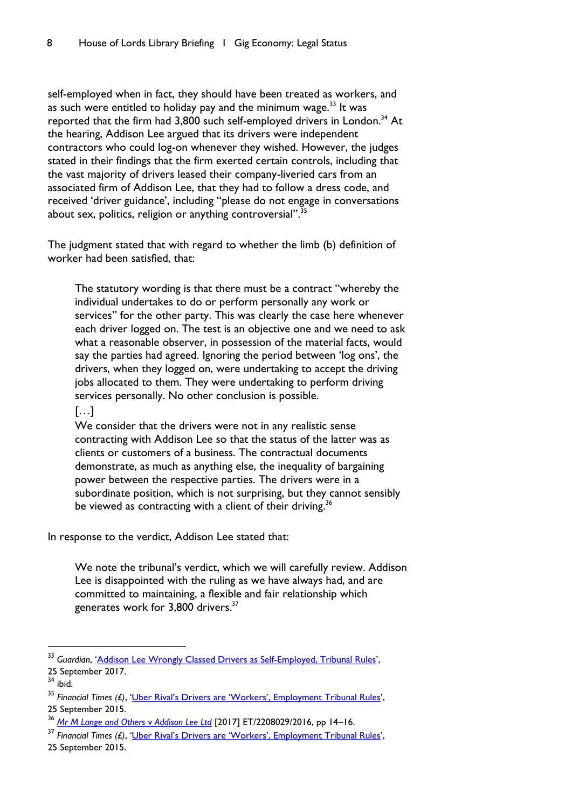self-employed when in fact, they should have been treated as workers, and as such were entitled to holiday pay and the minimum wage. $33$  It was reported that the firm had 3,800 such self-employed drivers in London.<sup>34</sup> At the hearing, Addison Lee argued that its drivers were independent contractors who could log-on whenever they wished. However, the judges stated in their findings that the firm exerted certain controls, including that the vast majority of drivers leased their company-liveried cars from an associated firm of Addison Lee, that they had to follow a dress code, and received 'driver guidance', including "please do not engage in conversations about sex, politics, religion or anything controversial".<sup>35</sup>

The judgment stated that with regard to whether the limb (b) definition of worker had been satisfied, that:

The statutory wording is that there must be a contract "whereby the individual undertakes to do or perform personally any work or services" for the other party. This was clearly the case here whenever each driver logged on. The test is an objective one and we need to ask what a reasonable observer, in possession of the material facts, would say the parties had agreed. Ignoring the period between 'log ons', the drivers, when they logged on, were undertaking to accept the driving jobs allocated to them. They were undertaking to perform driving services personally. No other conclusion is possible.

#### […]

We consider that the drivers were not in any realistic sense contracting with Addison Lee so that the status of the latter was as clients or customers of a business. The contractual documents demonstrate, as much as anything else, the inequality of bargaining power between the respective parties. The drivers were in a subordinate position, which is not surprising, but they cannot sensibly be viewed as contracting with a client of their driving.<sup>36</sup>

In response to the verdict, Addison Lee stated that:

We note the tribunal's verdict, which we will carefully review. Addison Lee is disappointed with the ruling as we have always had, and are committed to maintaining, a flexible and fair relationship which generates work for 3,800 drivers.<sup>37</sup>

<sup>33</sup> *Guardian*, '[Addison Lee Wrongly Classed Drivers as Self-Employed, Tribunal Rules](https://www.theguardian.com/money/2017/sep/25/addison-lee-wrongly-classed-drivers-as-self-employed-tribunal-rules)', 25 September 2017.

 $34$  ibid.

<sup>35</sup> *Financial Times (£)*, ['Uber Rival's Drivers are 'Workers', Employment Tribunal Rules',](https://www.ft.com/content/8c604808-a205-11e7-9e4f-7f5e6a7c98a2) 25 September 2015.

<sup>36</sup> *[Mr M Lange and Others](https://assets.publishing.service.gov.uk/media/59d4cdd9ed915d2b82ee34e0/Mr_M_Lange_and_Others_v_Addison_Lee_Ltd_2208029-2016___Others__Final_and_Reasons.pdf)* v *Addison Lee Ltd* [2017] ET/2208029/2016, pp 14–16.

<sup>37</sup> *Financial Times (£)*, 'Ub[er Rival's Drivers are 'Workers', Employment Tribunal Rules',](https://www.ft.com/content/8c604808-a205-11e7-9e4f-7f5e6a7c98a2)

<sup>25</sup> September 2015.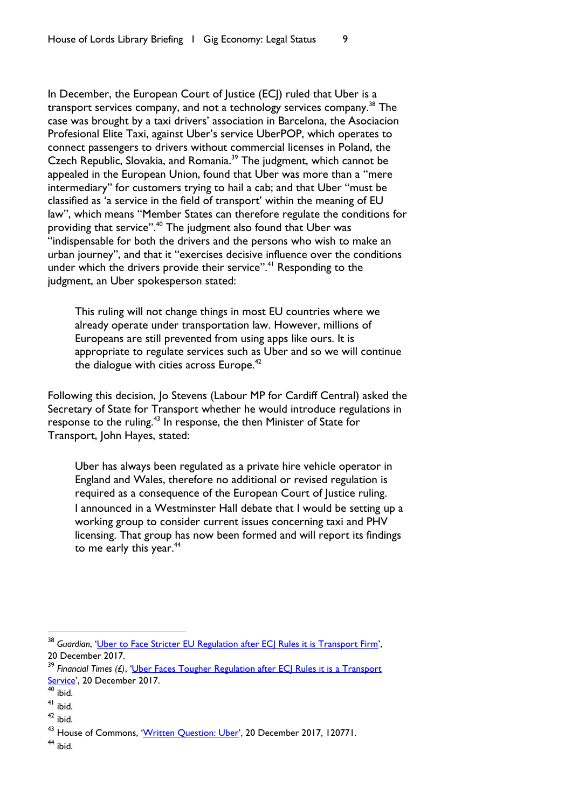In December, the European Court of Justice (ECJ) ruled that Uber is a transport services company, and not a technology services company.<sup>38</sup> The case was brought by a taxi drivers' association in Barcelona, the Asociacion Profesional Elite Taxi, against Uber's service UberPOP, which operates to connect passengers to drivers without commercial licenses in Poland, the Czech Republic, Slovakia, and Romania.<sup>39</sup> The judgment, which cannot be appealed in the European Union, found that Uber was more than a "mere intermediary" for customers trying to hail a cab; and that Uber "must be classified as 'a service in the field of transport' within the meaning of EU law", which means "Member States can therefore regulate the conditions for providing that service".<sup>40</sup> The judgment also found that Uber was "indispensable for both the drivers and the persons who wish to make an urban journey", and that it "exercises decisive influence over the conditions under which the drivers provide their service".<sup>41</sup> Responding to the judgment, an Uber spokesperson stated:

This ruling will not change things in most EU countries where we already operate under transportation law. However, millions of Europeans are still prevented from using apps like ours. It is appropriate to regulate services such as Uber and so we will continue the dialogue with cities across Europe.<sup>42</sup>

Following this decision, Jo Stevens (Labour MP for Cardiff Central) asked the Secretary of State for Transport whether he would introduce regulations in response to the ruling.<sup>43</sup> In response, the then Minister of State for Transport, John Hayes, stated:

Uber has always been regulated as a private hire vehicle operator in England and Wales, therefore no additional or revised regulation is required as a consequence of the European Court of Justice ruling. I announced in a Westminster Hall debate that I would be setting up a working group to consider current issues concerning taxi and PHV licensing. That group has now been formed and will report its findings to me early this year.<sup>44</sup>

 $\overline{a}$ 

<sup>&</sup>lt;sup>38</sup> Guardian, '[Uber to Face Stricter EU Regulation after ECJ Rules it is Transport Firm](https://www.theguardian.com/technology/2017/dec/20/uber-european-court-of-justice-ruling-barcelona-taxi-drivers-ecj-eu)', 20 December 2017.

<sup>&</sup>lt;sup>39</sup> Financial Times (£), 'Uber Faces Tougher Regulation after ECJ Rules it is a Transport [Service](https://www.ft.com/content/b91acc8a-a3bf-3065-95e3-358314bca96a)', 20 December 2017.

 $40$  ibid.

<sup>41</sup> ibid.

 $42$  ibid.

<sup>&</sup>lt;sup>43</sup> House of Commons, '[Written Question: Uber](http://www.parliament.uk/written-questions-answers-statements/written-question/commons/2017-12-20/120771)', 20 December 2017, 120771.

 $44$  ibid.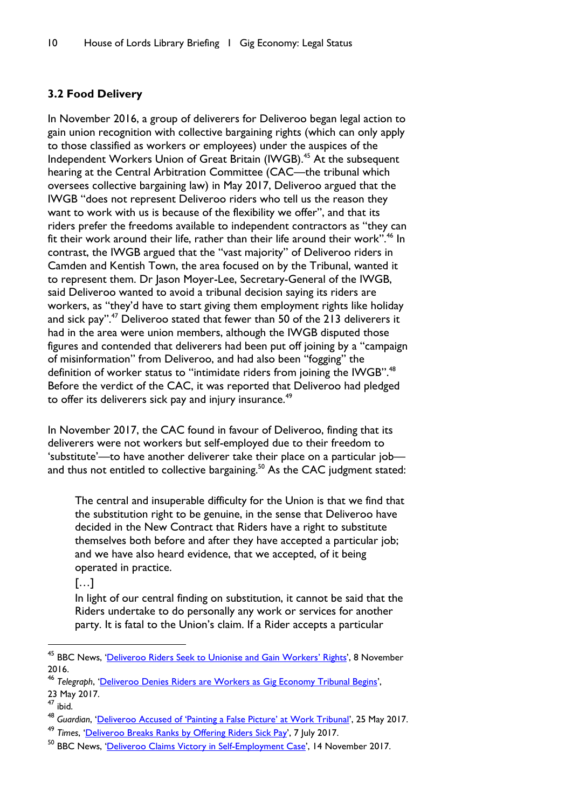### <span id="page-11-0"></span>**3.2 Food Delivery**

In November 2016, a group of deliverers for Deliveroo began legal action to gain union recognition with collective bargaining rights (which can only apply to those classified as workers or employees) under the auspices of the Independent Workers Union of Great Britain (IWGB).<sup>45</sup> At the subsequent hearing at the Central Arbitration Committee (CAC—the tribunal which oversees collective bargaining law) in May 2017, Deliveroo argued that the IWGB "does not represent Deliveroo riders who tell us the reason they want to work with us is because of the flexibility we offer", and that its riders prefer the freedoms available to independent contractors as "they can fit their work around their life, rather than their life around their work".<sup>46</sup> In contrast, the IWGB argued that the "vast majority" of Deliveroo riders in Camden and Kentish Town, the area focused on by the Tribunal, wanted it to represent them. Dr Jason Moyer-Lee, Secretary-General of the IWGB, said Deliveroo wanted to avoid a tribunal decision saying its riders are workers, as "they'd have to start giving them employment rights like holiday and sick pay".<sup>47</sup> Deliveroo stated that fewer than 50 of the 213 deliverers it had in the area were union members, although the IWGB disputed those figures and contended that deliverers had been put off joining by a "campaign of misinformation" from Deliveroo, and had also been "fogging" the definition of worker status to "intimidate riders from joining the IWGB".<sup>48</sup> Before the verdict of the CAC, it was reported that Deliveroo had pledged to offer its deliverers sick pay and injury insurance.<sup>49</sup>

In November 2017, the CAC found in favour of Deliveroo, finding that its deliverers were not workers but self-employed due to their freedom to 'substitute'—to have another deliverer take their place on a particular job and thus not entitled to collective bargaining.<sup>50</sup> As the CAC judgment stated:

The central and insuperable difficulty for the Union is that we find that the substitution right to be genuine, in the sense that Deliveroo have decided in the New Contract that Riders have a right to substitute themselves both before and after they have accepted a particular job; and we have also heard evidence, that we accepted, of it being operated in practice.

[…]

In light of our central finding on substitution, it cannot be said that the Riders undertake to do personally any work or services for another party. It is fatal to the Union's claim. If a Rider accepts a particular

<sup>&</sup>lt;sup>45</sup> BBC News, '[Deliveroo Riders Seek to Unionise and Gain Workers](http://www.bbc.co.uk/news/uk-37905425)' Rights', 8 November 2016.

<sup>46</sup> *Telegraph*, '[Deliveroo Denies Riders are Workers as Gig Economy Tribunal Begins](http://www.telegraph.co.uk/technology/2017/05/23/deliveroo-denies-riders-workers-gig-economy-tribunal-begins/)',

<sup>23</sup> May 2017.

<sup>47</sup> ibid.

<sup>48</sup> *Guardian*, ['Deliveroo Accused of 'Painting a False Picture' at Work Tribunal',](https://www.theguardian.com/business/2017/may/25/deliveroo-accused-painting-false-picture-work-tribunal-self-employment) 25 May 2017.

<sup>49</sup> *Times*, '[Deliveroo Breaks Ranks by Offering Riders Sick Pay](https://www.thetimes.co.uk/edition/news/deliveroo-breaks-ranks-by-offering-riders-sick-pay-l7z5rkzw3)', 7 July 2017.

<sup>&</sup>lt;sup>50</sup> BBC News, '[Deliveroo Claims Victory in Self-Employment Case](http://www.bbc.co.uk/news/business-41983343)', 14 November 2017.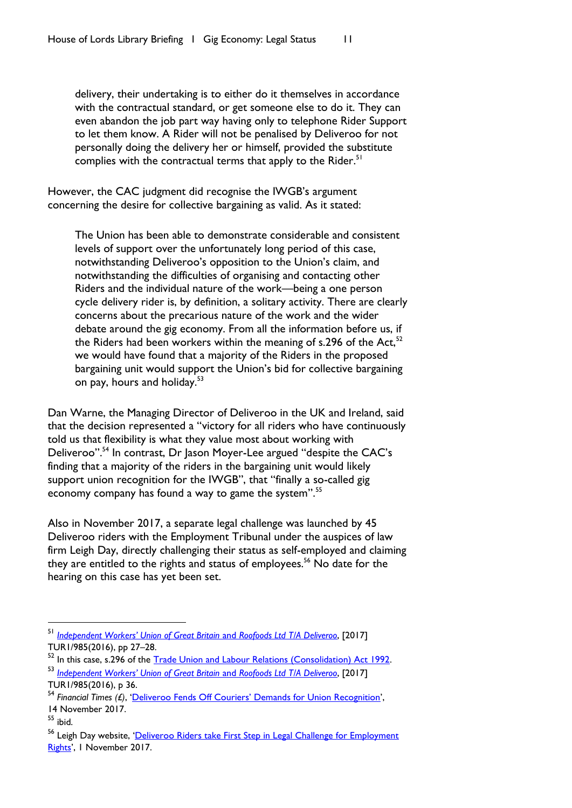delivery, their undertaking is to either do it themselves in accordance with the contractual standard, or get someone else to do it. They can even abandon the job part way having only to telephone Rider Support to let them know. A Rider will not be penalised by Deliveroo for not personally doing the delivery her or himself, provided the substitute complies with the contractual terms that apply to the Rider.<sup>51</sup>

However, the CAC judgment did recognise the IWGB's argument concerning the desire for collective bargaining as valid. As it stated:

The Union has been able to demonstrate considerable and consistent levels of support over the unfortunately long period of this case, notwithstanding Deliveroo's opposition to the Union's claim, and notwithstanding the difficulties of organising and contacting other Riders and the individual nature of the work—being a one person cycle delivery rider is, by definition, a solitary activity. There are clearly concerns about the precarious nature of the work and the wider debate around the gig economy. From all the information before us, if the Riders had been workers within the meaning of s.296 of the Act,  $52$ we would have found that a majority of the Riders in the proposed bargaining unit would support the Union's bid for collective bargaining on pay, hours and holiday.<sup>53</sup>

Dan Warne, the Managing Director of Deliveroo in the UK and Ireland, said that the decision represented a "victory for all riders who have continuously told us that flexibility is what they value most about working with Deliveroo".<sup>54</sup> In contrast, Dr Jason Moyer-Lee argued "despite the CAC's finding that a majority of the riders in the bargaining unit would likely support union recognition for the IWGB", that "finally a so-called gig economy company has found a way to game the system".<sup>55</sup>

Also in November 2017, a separate legal challenge was launched by 45 Deliveroo riders with the Employment Tribunal under the auspices of law firm Leigh Day, directly challenging their status as self-employed and claiming they are entitled to the rights and status of employees.<sup>56</sup> No date for the hearing on this case has yet been set.

<sup>51</sup> *[Independent Workers' Union of Great Britain](https://www.gov.uk/government/uploads/system/uploads/attachment_data/file/659481/Acceptance_Decision.pdf)* and *Roofoods Ltd T/A Deliveroo*, [2017] TUR1/985(2016), pp 27–28.

<sup>52</sup> In this case, s.296 of the [Trade Union and Labour Relations \(Consolidation\) Act 1992.](https://www.legislation.gov.uk/ukpga/1992/52/section/296) <sup>53</sup> *[Independent Workers' Union of Great Britain](https://www.gov.uk/government/uploads/system/uploads/attachment_data/file/659481/Acceptance_Decision.pdf)* and *Roofoods Ltd T/A Deliveroo*, [2017]

TUR1/985(2016), p 36.

<sup>54</sup> *Financial Times (£)*, ['Deliveroo Fends Off Couriers' Demands for Union Recognition'](https://www.ft.com/content/25109592-c968-11e7-aa33-c63fdc9b8c6c), 14 November 2017.

 $55$  ibid.

<sup>&</sup>lt;sup>56</sup> Leigh Day website, 'Deliveroo Riders [take First Step in Legal Challenge](https://www.leighday.co.uk/News/News-2017/November-2017/Deliveroo-riders-take-first-step-in-legal-challeng) for Employment [Rights](https://www.leighday.co.uk/News/News-2017/November-2017/Deliveroo-riders-take-first-step-in-legal-challeng)', 1 November 2017.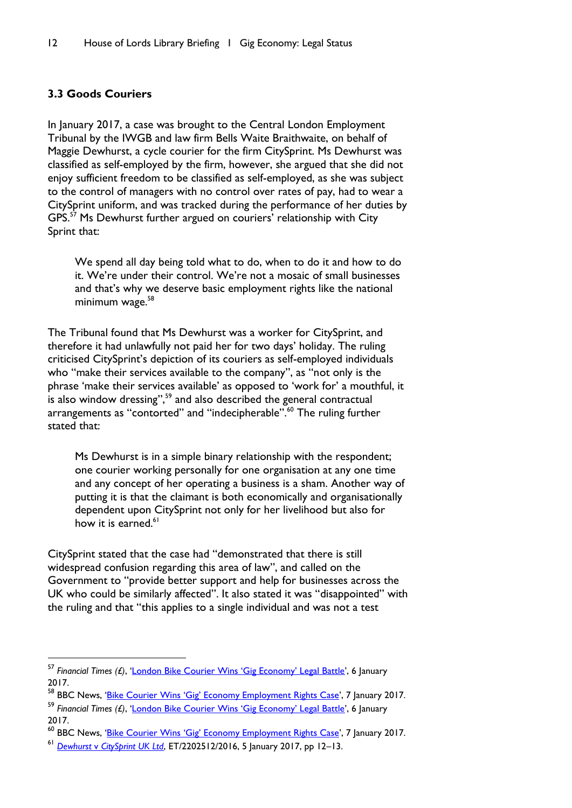# <span id="page-13-0"></span>**3.3 Goods Couriers**

l

In January 2017, a case was brought to the Central London Employment Tribunal by the IWGB and law firm Bells Waite Braithwaite, on behalf of Maggie Dewhurst, a cycle courier for the firm CitySprint. Ms Dewhurst was classified as self-employed by the firm, however, she argued that she did not enjoy sufficient freedom to be classified as self-employed, as she was subject to the control of managers with no control over rates of pay, had to wear a CitySprint uniform, and was tracked during the performance of her duties by  $GPS<sub>15</sub>$ <sup>57</sup> Ms Dewhurst further argued on couriers' relationship with City Sprint that:

We spend all day being told what to do, when to do it and how to do it. We're under their control. We're not a mosaic of small businesses and that's why we deserve basic employment rights like the national minimum wage.<sup>58</sup>

The Tribunal found that Ms Dewhurst was a worker for CitySprint, and therefore it had unlawfully not paid her for two days' holiday. The ruling criticised CitySprint's depiction of its couriers as self-employed individuals who "make their services available to the company", as "not only is the phrase 'make their services available' as opposed to 'work for' a mouthful, it is also window dressing",<sup>59</sup> and also described the general contractual arrangements as "contorted" and "indecipherable".<sup>60</sup> The ruling further stated that:

Ms Dewhurst is in a simple binary relationship with the respondent; one courier working personally for one organisation at any one time and any concept of her operating a business is a sham. Another way of putting it is that the claimant is both economically and organisationally dependent upon CitySprint not only for her livelihood but also for how it is earned.<sup>61</sup>

CitySprint stated that the case had "demonstrated that there is still widespread confusion regarding this area of law", and called on the Government to "provide better support and help for businesses across the UK who could be similarly affected". It also stated it was "disappointed" with the ruling and that "this applies to a single individual and was not a test

<sup>57</sup> *Financial Times (£)*, ['London Bike Courier Wins 'Gig Economy' Legal Battle'](https://www.ft.com/content/fff3a320-d43b-11e6-b06b-680c49b4b4c0), 6 January 2017.

<sup>&</sup>lt;sup>58</sup> BBC News, '<u>Bike Courier Wins 'Gig' [Economy Employment Rights Case](http://www.bbc.co.uk/news/business-38534524)',</u> 7 January 2017.

<sup>59</sup> *Financial Times (£)*, ['London Bike Courier Wins 'Gig Economy' Legal Battle'](https://www.ft.com/content/fff3a320-d43b-11e6-b06b-680c49b4b4c0), 6 January 2017.

<sup>&</sup>lt;sup>60</sup> BBC News, '<u>Bike Courier Wins 'Gig' [Economy Employment Rights Case](http://www.bbc.co.uk/news/business-38534524)</u>', 7 January 2017.

<sup>61</sup> *Dewhurst* v *[CitySprint UK Ltd](https://uk.practicallaw.thomsonreuters.com/Link/Document/Blob/I8a926728d7e211e698dc8b09b4f043e0.pdf?targetType=PLC-multimedia&originationContext=document&transitionType=DocumentImage&uniqueId=31ca59e9-95dc-4d1b-8211-560a9b122403&contextData=(sc.Default)&firstPage=true&bhcp=1)*, ET/2202512/2016, 5 January 2017, pp 12–13.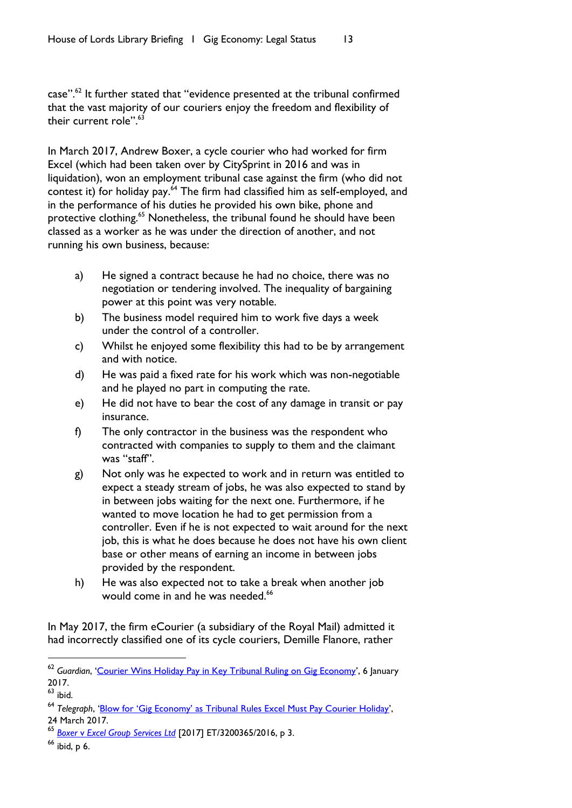case".<sup>62</sup> It further stated that "evidence presented at the tribunal confirmed that the vast majority of our couriers enjoy the freedom and flexibility of their current role".<sup>63</sup>

In March 2017, Andrew Boxer, a cycle courier who had worked for firm Excel (which had been taken over by CitySprint in 2016 and was in liquidation), won an employment tribunal case against the firm (who did not contest it) for holiday pay.<sup>64</sup> The firm had classified him as self-employed, and in the performance of his duties he provided his own bike, phone and protective clothing.<sup>65</sup> Nonetheless, the tribunal found he should have been classed as a worker as he was under the direction of another, and not running his own business, because:

- a) He signed a contract because he had no choice, there was no negotiation or tendering involved. The inequality of bargaining power at this point was very notable.
- b) The business model required him to work five days a week under the control of a controller.
- c) Whilst he enjoyed some flexibility this had to be by arrangement and with notice.
- d) He was paid a fixed rate for his work which was non-negotiable and he played no part in computing the rate.
- e) He did not have to bear the cost of any damage in transit or pay insurance.
- f) The only contractor in the business was the respondent who contracted with companies to supply to them and the claimant was "staff".
- g) Not only was he expected to work and in return was entitled to expect a steady stream of jobs, he was also expected to stand by in between jobs waiting for the next one. Furthermore, if he wanted to move location he had to get permission from a controller. Even if he is not expected to wait around for the next job, this is what he does because he does not have his own client base or other means of earning an income in between jobs provided by the respondent.
- h) He was also expected not to take a break when another job would come in and he was needed.<sup>66</sup>

In May 2017, the firm eCourier (a subsidiary of the Royal Mail) admitted it had incorrectly classified one of its cycle couriers, Demille Flanore, rather

<sup>62</sup> *Guardian*, '[Courier Wins Holiday Pay in Key Tribunal Ruling on Gig Economy](https://www.theguardian.com/business/2017/jan/06/courier-wins-holiday-pay-in-latest-key-tribunal-ruling-for-gig-economy)', 6 January 2017.

 $63$  ibid.

<sup>64</sup> *Telegraph*, 'Blow for 'Gig Economy' [as Tribunal Rules Excel Must Pay Courier Holiday](http://www.telegraph.co.uk/technology/2017/03/24/gig-economy-tribunal-rules-excel-courier-must-pay-worker-holiday/)',

<sup>24</sup> March 2017.

<sup>65</sup> *Boxer* v *[Excel Group Services Ltd](https://assets.publishing.service.gov.uk/media/58ecacb5ed915d06ac000150/Mr_A_Boxer_v_Excel_Group_Services_Ltd__in_liquidation__3200365-2016_Final_and_Reasons.pdf)* [2017] ET/3200365/2016, p 3.

<sup>66</sup> ibid, p 6.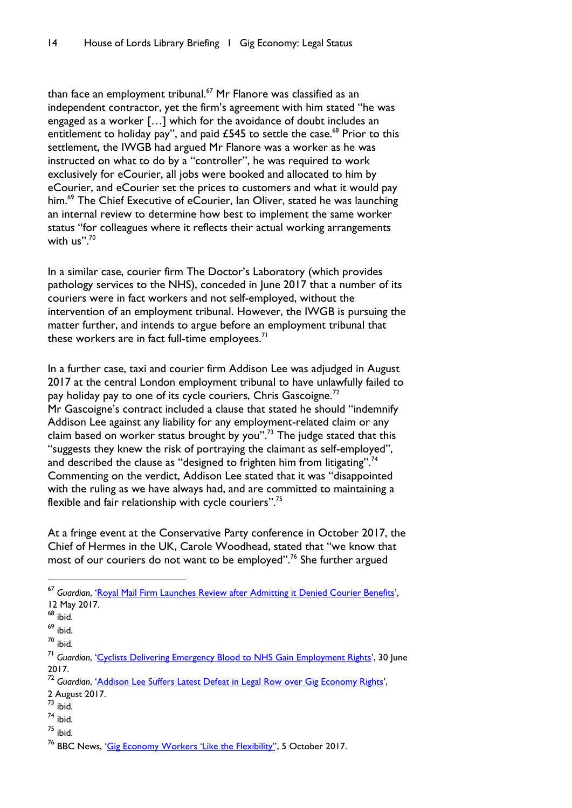than face an employment tribunal.<sup>67</sup> Mr Flanore was classified as an independent contractor, yet the firm's agreement with him stated "he was engaged as a worker […] which for the avoidance of doubt includes an entitlement to holiday pay", and paid £545 to settle the case. $^{68}$  Prior to this settlement, the IWGB had argued Mr Flanore was a worker as he was instructed on what to do by a "controller", he was required to work exclusively for eCourier, all jobs were booked and allocated to him by eCourier, and eCourier set the prices to customers and what it would pay him.<sup>69</sup> The Chief Executive of eCourier, Ian Oliver, stated he was launching an internal review to determine how best to implement the same worker status "for colleagues where it reflects their actual working arrangements with us".<sup>70</sup>

In a similar case, courier firm The Doctor's Laboratory (which provides pathology services to the NHS), conceded in June 2017 that a number of its couriers were in fact workers and not self-employed, without the intervention of an employment tribunal. However, the IWGB is pursuing the matter further, and intends to argue before an employment tribunal that these workers are in fact full-time employees. $<sup>71</sup>$ </sup>

In a further case, taxi and courier firm Addison Lee was adjudged in August 2017 at the central London employment tribunal to have unlawfully failed to pay holiday pay to one of its cycle couriers, Chris Gascoigne.<sup>72</sup> Mr Gascoigne's contract included a clause that stated he should "indemnify Addison Lee against any liability for any employment-related claim or any claim based on worker status brought by you".<sup>73</sup> The judge stated that this "suggests they knew the risk of portraying the claimant as self-employed", and described the clause as "designed to frighten him from litigating".<sup>74</sup> Commenting on the verdict, Addison Lee stated that it was "disappointed with the ruling as we have always had, and are committed to maintaining a flexible and fair relationship with cycle couriers".<sup>75</sup>

At a fringe event at the Conservative Party conference in October 2017, the Chief of Hermes in the UK, Carole Woodhead, stated that "we know that most of our couriers do not want to be employed". <sup>76</sup> She further argued

 $\overline{a}$ 

- <sup>72</sup> *Guardian*, '[Addison Lee Suffers Latest Defeat in Legal Row over Gig Economy Rights](https://www.theguardian.com/uk-news/2017/aug/02/addison-lee-suffers-latest-defeat-in-legal-row-over-gig-economy-rights)',
- 2 August 2017.
- $\overline{73}$  ibid.
- <sup>74</sup> ibid.
- $75$  ibid.

<sup>67</sup> *Guardian*, '[Royal Mail Firm Launches Review after Admitting it Denied Courier Benefits](https://www.theguardian.com/business/2017/may/12/gig-economy-ecourier-admits-denying-courier-employment-benefits)', 12 May 2017.

 $68$  ibid.

<sup>69</sup> ibid.

<sup>70</sup> ibid.

<sup>71</sup> *Guardian*, '[Cyclists Delivering Emergency Blood to NHS Gain Employment Rights](https://www.theguardian.com/law/2017/jun/29/blood-supply-company-concedes-worker-status-of-couriers-to-nhs)', 30 June 2017.

<sup>&</sup>lt;sup>76</sup> BBC News. 'Gig **Economy Workers 'Like the Flexibility'**', 5 October 2017.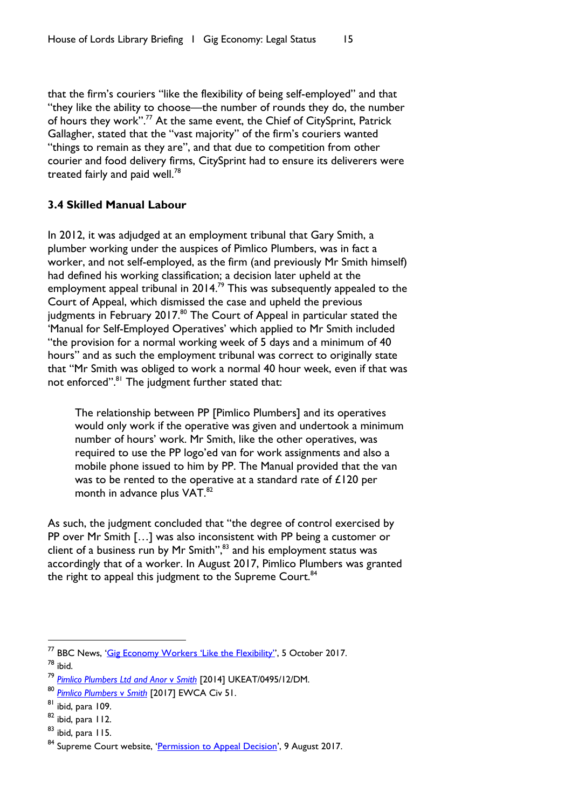that the firm's couriers "like the flexibility of being self-employed" and that "they like the ability to choose—the number of rounds they do, the number of hours they work".<sup>77</sup> At the same event, the Chief of CitySprint, Patrick Gallagher, stated that the "vast majority" of the firm's couriers wanted "things to remain as they are", and that due to competition from other courier and food delivery firms, CitySprint had to ensure its deliverers were treated fairly and paid well.<sup>78</sup>

# <span id="page-16-0"></span>**3.4 Skilled Manual Labour**

In 2012, it was adjudged at an employment tribunal that Gary Smith, a plumber working under the auspices of Pimlico Plumbers, was in fact a worker, and not self-employed, as the firm (and previously Mr Smith himself) had defined his working classification; a decision later upheld at the employment appeal tribunal in 2014.<sup>79</sup> This was subsequently appealed to the Court of Appeal, which dismissed the case and upheld the previous judgments in February 2017.<sup>80</sup> The Court of Appeal in particular stated the 'Manual for Self-Employed Operatives' which applied to Mr Smith included "the provision for a normal working week of 5 days and a minimum of 40 hours" and as such the employment tribunal was correct to originally state that "Mr Smith was obliged to work a normal 40 hour week, even if that was not enforced".<sup>81</sup> The judgment further stated that:

The relationship between PP [Pimlico Plumbers] and its operatives would only work if the operative was given and undertook a minimum number of hours' work. Mr Smith, like the other operatives, was required to use the PP logo'ed van for work assignments and also a mobile phone issued to him by PP. The Manual provided that the van was to be rented to the operative at a standard rate of £120 per month in advance plus VAT.<sup>82</sup>

As such, the judgment concluded that "the degree of control exercised by PP over Mr Smith […] was also inconsistent with PP being a customer or client of a business run by Mr Smith",<sup>83</sup> and his employment status was accordingly that of a worker. In August 2017, Pimlico Plumbers was granted the right to appeal this judgment to the Supreme Court. $84$ 

 $\overline{a}$ 

<sup>&</sup>lt;sup>77</sup> BBC News, ['Gig Economy Workers 'Like the Flexibility''](http://www.bbc.co.uk/news/uk-politics-41490172), 5 October 2017.  $78$  ibid.

<sup>79</sup> *[Pimlico Plumbers Ltd and](http://www.bailii.org/uk/cases/UKEAT/2014/0495_12_2111.html) Anor* v *Smith* [2014] UKEAT/0495/12/DM.

<sup>80</sup> *[Pimlico Plumbers](https://www.judiciary.gov.uk/wp-content/uploads/2017/02/pimlico-plumbers-v-smith.pdf)* v *Smith* [2017] EWCA Civ 51.

<sup>81</sup> ibid, para 109.

<sup>82</sup> ibid, para 112.

<sup>83</sup> ibid, para 115.

<sup>&</sup>lt;sup>84</sup> Supreme Court website, '[Permission to Appeal Decision](https://www.supremecourt.uk/news/permission-to-appeal-decision-in-pimlico-plumbers-ltd-and-another-v-smith.html)', 9 August 2017.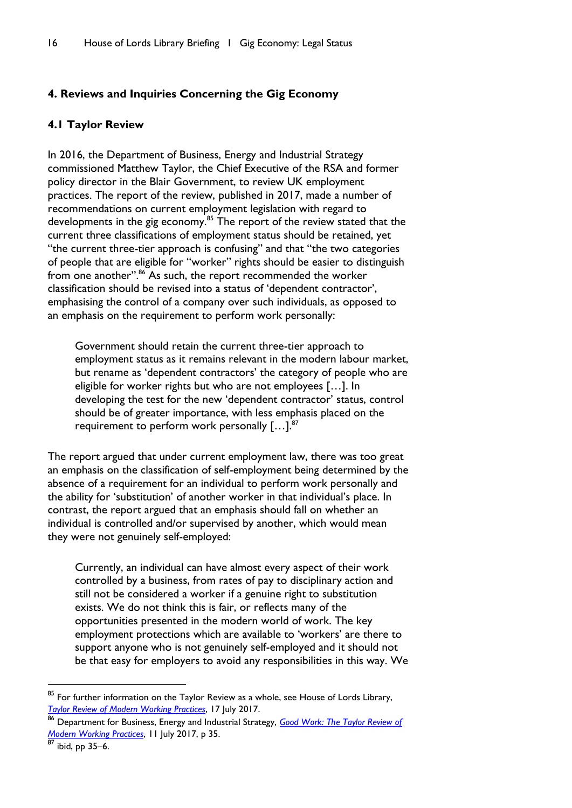# <span id="page-17-0"></span>**4. Reviews and Inquiries Concerning the Gig Economy**

### <span id="page-17-1"></span>**4.1 Taylor Review**

In 2016, the Department of Business, Energy and Industrial Strategy commissioned Matthew Taylor, the Chief Executive of the RSA and former policy director in the Blair Government, to review UK employment practices. The report of the review, published in 2017, made a number of recommendations on current employment legislation with regard to developments in the gig economy.<sup>85</sup> The report of the review stated that the current three classifications of employment status should be retained, yet "the current three-tier approach is confusing" and that "the two categories of people that are eligible for "worker" rights should be easier to distinguish from one another".<sup>86</sup> As such, the report recommended the worker classification should be revised into a status of 'dependent contractor', emphasising the control of a company over such individuals, as opposed to an emphasis on the requirement to perform work personally:

Government should retain the current three-tier approach to employment status as it remains relevant in the modern labour market, but rename as 'dependent contractors' the category of people who are eligible for worker rights but who are not employees […]. In developing the test for the new 'dependent contractor' status, control should be of greater importance, with less emphasis placed on the requirement to perform work personally  $[...]$ .<sup>87</sup>

The report argued that under current employment law, there was too great an emphasis on the classification of self-employment being determined by the absence of a requirement for an individual to perform work personally and the ability for 'substitution' of another worker in that individual's place. In contrast, the report argued that an emphasis should fall on whether an individual is controlled and/or supervised by another, which would mean they were not genuinely self-employed:

Currently, an individual can have almost every aspect of their work controlled by a business, from rates of pay to disciplinary action and still not be considered a worker if a genuine right to substitution exists. We do not think this is fair, or reflects many of the opportunities presented in the modern world of work. The key employment protections which are available to 'workers' are there to support anyone who is not genuinely self-employed and it should not be that easy for employers to avoid any responsibilities in this way. We

 $^{85}$  For further information on the Taylor Review as a whole, see House of Lords Library, *[Taylor Review of Modern Working Practices](https://researchbriefings.parliament.uk/ResearchBriefing/Summary/LLN-2017-0043)*, 17 July 2017.

<sup>86</sup> Department for Business, Energy and Industrial Strategy, *[Good Work: The Taylor Review of](https://www.gov.uk/government/uploads/system/uploads/attachment_data/file/627671/good-work-taylor-review-modern-working-practices-rg.pdf)  [Modern Working Practices](https://www.gov.uk/government/uploads/system/uploads/attachment_data/file/627671/good-work-taylor-review-modern-working-practices-rg.pdf)*, 11 July 2017, p 35.

ibid, pp 35–6.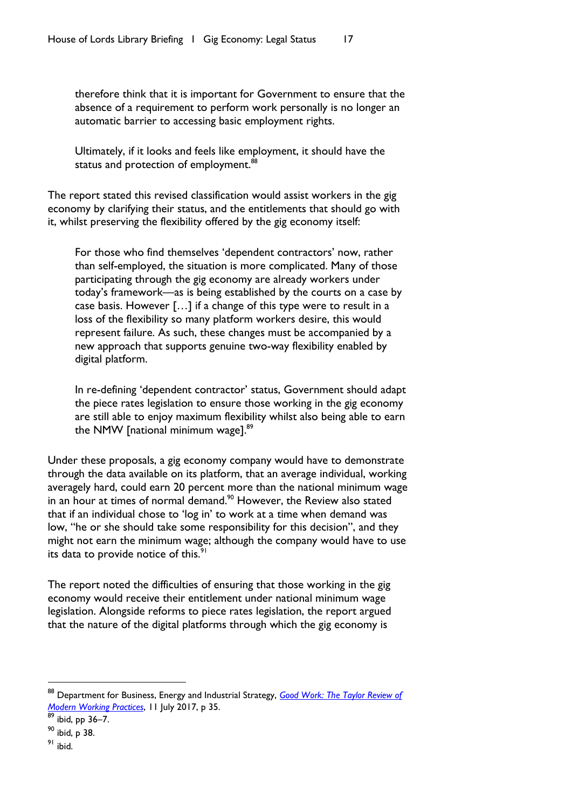therefore think that it is important for Government to ensure that the absence of a requirement to perform work personally is no longer an automatic barrier to accessing basic employment rights.

Ultimately, if it looks and feels like employment, it should have the status and protection of employment.<sup>88</sup>

The report stated this revised classification would assist workers in the gig economy by clarifying their status, and the entitlements that should go with it, whilst preserving the flexibility offered by the gig economy itself:

For those who find themselves 'dependent contractors' now, rather than self-employed, the situation is more complicated. Many of those participating through the gig economy are already workers under today's framework—as is being established by the courts on a case by case basis. However […] if a change of this type were to result in a loss of the flexibility so many platform workers desire, this would represent failure. As such, these changes must be accompanied by a new approach that supports genuine two-way flexibility enabled by digital platform.

In re-defining 'dependent contractor' status, Government should adapt the piece rates legislation to ensure those working in the gig economy are still able to enjoy maximum flexibility whilst also being able to earn the NMW [national minimum wage].<sup>89</sup>

Under these proposals, a gig economy company would have to demonstrate through the data available on its platform, that an average individual, working averagely hard, could earn 20 percent more than the national minimum wage in an hour at times of normal demand.<sup>90</sup> However, the Review also stated that if an individual chose to 'log in' to work at a time when demand was low, "he or she should take some responsibility for this decision", and they might not earn the minimum wage; although the company would have to use its data to provide notice of this.<sup>9</sup>

The report noted the difficulties of ensuring that those working in the gig economy would receive their entitlement under national minimum wage legislation. Alongside reforms to piece rates legislation, the report argued that the nature of the digital platforms through which the gig economy is

<sup>88</sup> Department for Business, Energy and Industrial Strategy, *[Good Work: The Taylor Review of](https://www.gov.uk/government/uploads/system/uploads/attachment_data/file/627671/good-work-taylor-review-modern-working-practices-rg.pdf)  [Modern Working Practices](https://www.gov.uk/government/uploads/system/uploads/attachment_data/file/627671/good-work-taylor-review-modern-working-practices-rg.pdf)*, 11 July 2017, p 35.

 $89$  ibid, pp 36–7.

<sup>90</sup> ibid, p 38.

<sup>91</sup> ibid.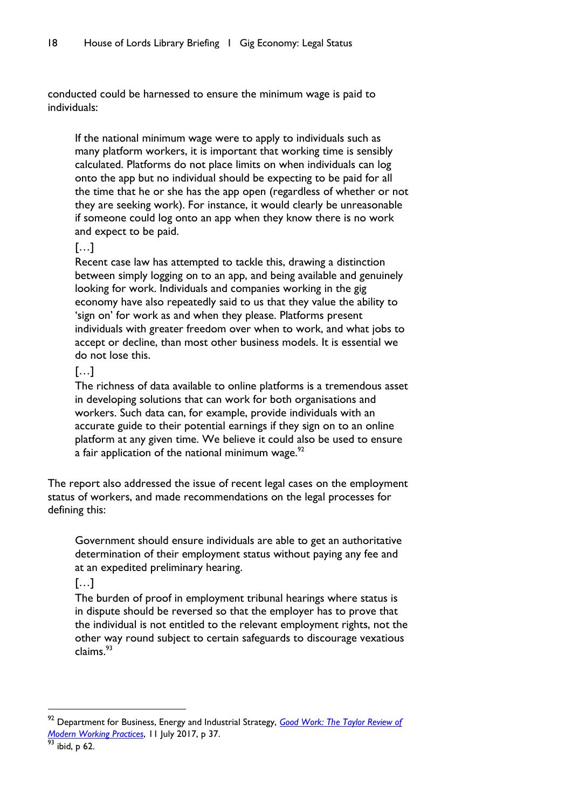conducted could be harnessed to ensure the minimum wage is paid to individuals:

If the national minimum wage were to apply to individuals such as many platform workers, it is important that working time is sensibly calculated. Platforms do not place limits on when individuals can log onto the app but no individual should be expecting to be paid for all the time that he or she has the app open (regardless of whether or not they are seeking work). For instance, it would clearly be unreasonable if someone could log onto an app when they know there is no work and expect to be paid.

### […]

Recent case law has attempted to tackle this, drawing a distinction between simply logging on to an app, and being available and genuinely looking for work. Individuals and companies working in the gig economy have also repeatedly said to us that they value the ability to 'sign on' for work as and when they please. Platforms present individuals with greater freedom over when to work, and what jobs to accept or decline, than most other business models. It is essential we do not lose this.

# […]

The richness of data available to online platforms is a tremendous asset in developing solutions that can work for both organisations and workers. Such data can, for example, provide individuals with an accurate guide to their potential earnings if they sign on to an online platform at any given time. We believe it could also be used to ensure a fair application of the national minimum wage. $^{92}$ 

The report also addressed the issue of recent legal cases on the employment status of workers, and made recommendations on the legal processes for defining this:

Government should ensure individuals are able to get an authoritative determination of their employment status without paying any fee and at an expedited preliminary hearing.

# […]

The burden of proof in employment tribunal hearings where status is in dispute should be reversed so that the employer has to prove that the individual is not entitled to the relevant employment rights, not the other way round subject to certain safeguards to discourage vexatious claims.<sup>93</sup>

 $\overline{a}$ 

<sup>92</sup> Department for Business, Energy and Industrial Strategy, *[Good Work: The Taylor Review of](https://www.gov.uk/government/uploads/system/uploads/attachment_data/file/627671/good-work-taylor-review-modern-working-practices-rg.pdf)  [Modern Working Practices](https://www.gov.uk/government/uploads/system/uploads/attachment_data/file/627671/good-work-taylor-review-modern-working-practices-rg.pdf)*, 11 July 2017, p 37.

ibid, p 62.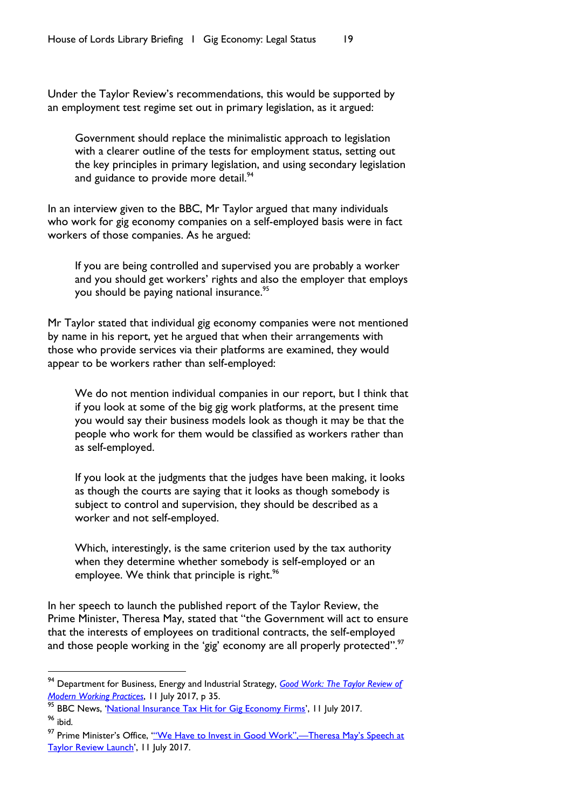Under the Taylor Review's recommendations, this would be supported by an employment test regime set out in primary legislation, as it argued:

Government should replace the minimalistic approach to legislation with a clearer outline of the tests for employment status, setting out the key principles in primary legislation, and using secondary legislation and guidance to provide more detail.<sup>94</sup>

In an interview given to the BBC, Mr Taylor argued that many individuals who work for gig economy companies on a self-employed basis were in fact workers of those companies. As he argued:

If you are being controlled and supervised you are probably a worker and you should get workers' rights and also the employer that employs you should be paying national insurance. 95

Mr Taylor stated that individual gig economy companies were not mentioned by name in his report, yet he argued that when their arrangements with those who provide services via their platforms are examined, they would appear to be workers rather than self-employed:

We do not mention individual companies in our report, but I think that if you look at some of the big gig work platforms, at the present time you would say their business models look as though it may be that the people who work for them would be classified as workers rather than as self-employed.

If you look at the judgments that the judges have been making, it looks as though the courts are saying that it looks as though somebody is subject to control and supervision, they should be described as a worker and not self-employed.

Which, interestingly, is the same criterion used by the tax authority when they determine whether somebody is self-employed or an employee. We think that principle is right.<sup>96</sup>

In her speech to launch the published report of the Taylor Review, the Prime Minister, Theresa May, stated that "the Government will act to ensure that the interests of employees on traditional contracts, the self-employed and those people working in the 'gig' economy are all properly protected". $\mathrm{^{97}}$ 

<sup>94</sup> Department for Business, Energy and Industrial Strategy, *[Good Work: The Taylor Review of](https://www.gov.uk/government/uploads/system/uploads/attachment_data/file/627671/good-work-taylor-review-modern-working-practices-rg.pdf)  [Modern Working Practices](https://www.gov.uk/government/uploads/system/uploads/attachment_data/file/627671/good-work-taylor-review-modern-working-practices-rg.pdf)*, 11 July 2017, p 35.

<sup>&</sup>lt;sup>95</sup> BBC News, '[National Insurance Tax Hit for Gig Economy Firms](http://www.bbc.co.uk/news/business-40563261)', 11 July 2017. <sup>96</sup> ibid.

<sup>&</sup>lt;sup>97</sup> Prime Minister's Office, "'We Have to Invest in Good Work",—Theresa May's Speech at [Taylor Review Launch](https://www.gov.uk/government/speeches/we-have-to-invest-in-good-work-theresa-mays-speech-at-taylor-review-launch)', II July 2017.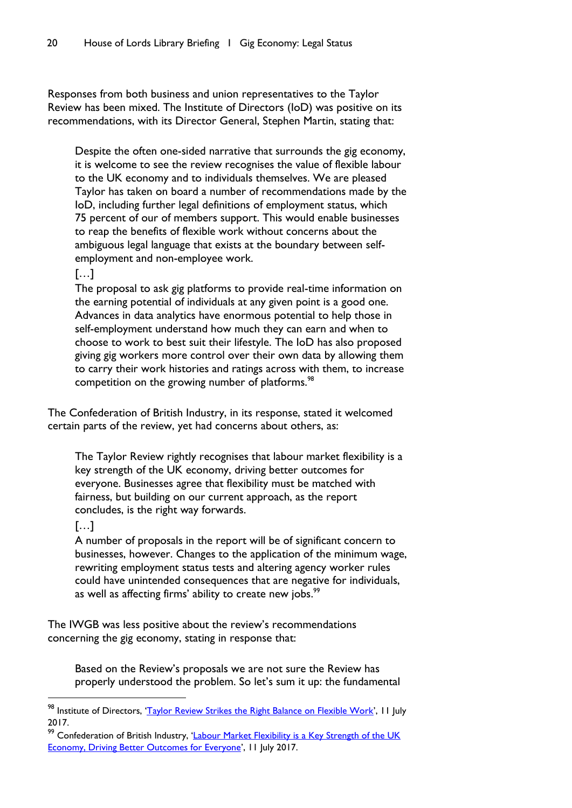Responses from both business and union representatives to the Taylor Review has been mixed. The Institute of Directors (IoD) was positive on its recommendations, with its Director General, Stephen Martin, stating that:

Despite the often one-sided narrative that surrounds the gig economy, it is welcome to see the review recognises the value of flexible labour to the UK economy and to individuals themselves. We are pleased Taylor has taken on board a number of recommendations made by the IoD, including further legal definitions of employment status, which 75 percent of our of members support. This would enable businesses to reap the benefits of flexible work without concerns about the ambiguous legal language that exists at the boundary between selfemployment and non-employee work.

#### […]

The proposal to ask gig platforms to provide real-time information on the earning potential of individuals at any given point is a good one. Advances in data analytics have enormous potential to help those in self-employment understand how much they can earn and when to choose to work to best suit their lifestyle. The IoD has also proposed giving gig workers more control over their own data by allowing them to carry their work histories and ratings across with them, to increase competition on the growing number of platforms.<sup>98</sup>

The Confederation of British Industry, in its response, stated it welcomed certain parts of the review, yet had concerns about others, as:

The Taylor Review rightly recognises that labour market flexibility is a key strength of the UK economy, driving better outcomes for everyone. Businesses agree that flexibility must be matched with fairness, but building on our current approach, as the report concludes, is the right way forwards.

# […]

l

A number of proposals in the report will be of significant concern to businesses, however. Changes to the application of the minimum wage, rewriting employment status tests and altering agency worker rules could have unintended consequences that are negative for individuals, as well as affecting firms' ability to create new jobs.<sup>99</sup>

The IWGB was less positive about the review's recommendations concerning the gig economy, stating in response that:

Based on the Review's proposals we are not sure the Review has properly understood the problem. So let's sum it up: the fundamental

<sup>98</sup> Institute of Directors, '[Taylor Review Strikes the Right Balance on Flexible Work](https://www.iod.com/news-campaigns/news/articles/Taylor-review-strikes-the-right-balance-on-flexible-work)', 11 July 2017.

<sup>&</sup>lt;sup>99</sup> Confederation of British Industry, 'Labour Market Flexibility is a Key Strength of the UK [Economy, Driving Better Outcomes for Everyone](http://www.cbi.org.uk/news/labour-market-flexibility-is-a-key-strength-of-the-uk-economy-driving-better-outcomes-for-everyone/)', 11 July 2017.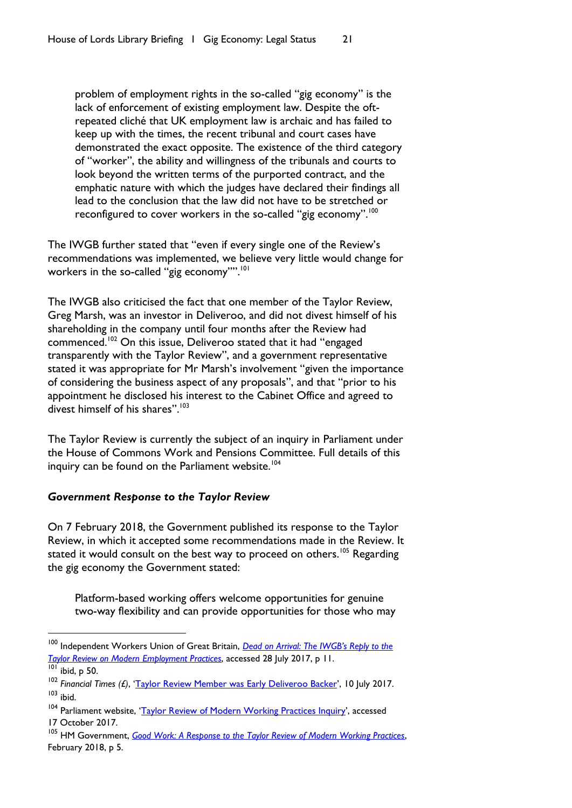problem of employment rights in the so-called "gig economy" is the lack of enforcement of existing employment law. Despite the oftrepeated cliché that UK employment law is archaic and has failed to keep up with the times, the recent tribunal and court cases have demonstrated the exact opposite. The existence of the third category of "worker", the ability and willingness of the tribunals and courts to look beyond the written terms of the purported contract, and the emphatic nature with which the judges have declared their findings all lead to the conclusion that the law did not have to be stretched or reconfigured to cover workers in the so-called "gig economy".<sup>100</sup>

The IWGB further stated that "even if every single one of the Review's recommendations was implemented, we believe very little would change for workers in the so-called "gig economy"".<sup>101</sup>

The IWGB also criticised the fact that one member of the Taylor Review, Greg Marsh, was an investor in Deliveroo, and did not divest himself of his shareholding in the company until four months after the Review had commenced.<sup>102</sup> On this issue, Deliveroo stated that it had "engaged transparently with the Taylor Review", and a government representative stated it was appropriate for Mr Marsh's involvement "given the importance of considering the business aspect of any proposals", and that "prior to his appointment he disclosed his interest to the Cabinet Office and agreed to divest himself of his shares".<sup>103</sup>

The Taylor Review is currently the subject of an inquiry in Parliament under the House of Commons Work and Pensions Committee. Full details of this inquiry can be found on the Parliament website.<sup>104</sup>

#### *Government Response to the Taylor Review*

On 7 February 2018, the Government published its response to the Taylor Review, in which it accepted some recommendations made in the Review. It stated it would consult on the best way to proceed on others.<sup>105</sup> Regarding the gig economy the Government stated:

Platform-based working offers welcome opportunities for genuine two-way flexibility and can provide opportunities for those who may

<sup>&</sup>lt;sup>100</sup> Independent Workers Union of Great Britain, **Dead on Arrival: The IWGB's Reply to the** *[Taylor Review on Modern Employment](https://iwgbunion.files.wordpress.com/2017/07/iwgb-response-to-taylor-review1.pdf) Practices*, accessed 28 July 2017, p 11.

 $\overline{101}$  ibid, p 50.

<sup>102</sup> *Financial Times (£)*, '[Taylor Review Member was Early Deliveroo Backer](https://www.ft.com/content/95392a68-6596-11e7-8526-7b38dcaef614)', 10 July 2017.  $103$  ibid.

<sup>&</sup>lt;sup>104</sup> Parliament website, '[Taylor Review of Modern Working Practices Inquiry](https://www.parliament.uk/business/committees/committees-a-z/commons-select/work-and-pensions-committee/inquiries/parliament-2017/inquiry1/publications/)', accessed 17 October 2017.

<sup>105</sup> HM Government, *[Good Work: A Response to the Taylor Review of Modern Working Practices](https://www.gov.uk/government/uploads/system/uploads/attachment_data/file/679767/180206_BEIS_Good_Work_Report__Accessible_A4_.pdf)*, February 2018, p 5.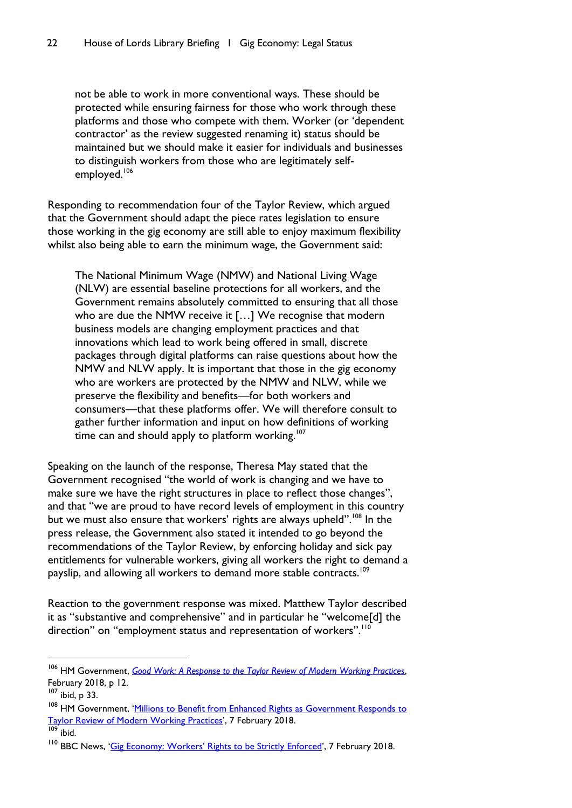not be able to work in more conventional ways. These should be protected while ensuring fairness for those who work through these platforms and those who compete with them. Worker (or 'dependent contractor' as the review suggested renaming it) status should be maintained but we should make it easier for individuals and businesses to distinguish workers from those who are legitimately selfemployed.<sup>106</sup>

Responding to recommendation four of the Taylor Review, which argued that the Government should adapt the piece rates legislation to ensure those working in the gig economy are still able to enjoy maximum flexibility whilst also being able to earn the minimum wage, the Government said:

The National Minimum Wage (NMW) and National Living Wage (NLW) are essential baseline protections for all workers, and the Government remains absolutely committed to ensuring that all those who are due the NMW receive it [...] We recognise that modern business models are changing employment practices and that innovations which lead to work being offered in small, discrete packages through digital platforms can raise questions about how the NMW and NLW apply. It is important that those in the gig economy who are workers are protected by the NMW and NLW, while we preserve the flexibility and benefits—for both workers and consumers—that these platforms offer. We will therefore consult to gather further information and input on how definitions of working time can and should apply to platform working.<sup>107</sup>

Speaking on the launch of the response, Theresa May stated that the Government recognised "the world of work is changing and we have to make sure we have the right structures in place to reflect those changes", and that "we are proud to have record levels of employment in this country but we must also ensure that workers' rights are always upheld".<sup>108</sup> In the press release, the Government also stated it intended to go beyond the recommendations of the Taylor Review, by enforcing holiday and sick pay entitlements for vulnerable workers, giving all workers the right to demand a payslip, and allowing all workers to demand more stable contracts.<sup>109</sup>

Reaction to the government response was mixed. Matthew Taylor described it as "substantive and comprehensive" and in particular he "welcome[d] the direction" on "employment status and representation of workers".<sup>110</sup>

<sup>106</sup> HM Government, *[Good Work: A Response to the Taylor Review of Modern Working Practices](https://www.gov.uk/government/uploads/system/uploads/attachment_data/file/679767/180206_BEIS_Good_Work_Report__Accessible_A4_.pdf)*, February 2018, p 12.

 $107$  ibid, p 33.

<sup>&</sup>lt;sup>108</sup> HM Government, 'Millions to Benefit from Enhanced Rights as Government Responds to [Taylor Review of Modern Working](https://www.gov.uk/government/news/millions-to-benefit-from-enhanced-rights-as-government-responds-to-taylor-review-of-modern-working-practices) Practices', 7 February 2018.

 $109$  ibid.

<sup>&</sup>lt;sup>110</sup> BBC News, ['Gig Economy: Workers' Rights to be Strictly Enforced'](http://www.bbc.co.uk/news/business-42959756), 7 February 2018.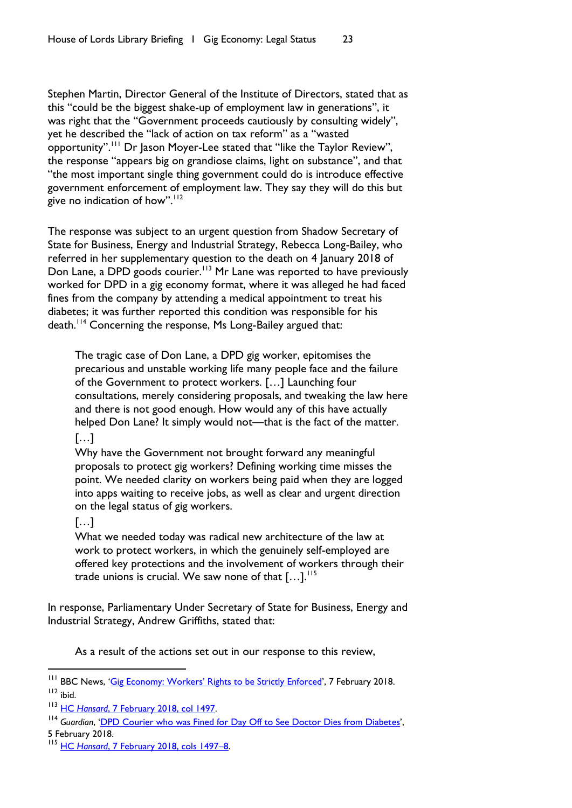Stephen Martin, Director General of the Institute of Directors, stated that as this "could be the biggest shake-up of employment law in generations", it was right that the "Government proceeds cautiously by consulting widely", yet he described the "lack of action on tax reform" as a "wasted opportunity".<sup>111</sup> Dr Jason Moyer-Lee stated that "like the Taylor Review", the response "appears big on grandiose claims, light on substance", and that "the most important single thing government could do is introduce effective government enforcement of employment law. They say they will do this but give no indication of how". $112$ 

The response was subject to an urgent question from Shadow Secretary of State for Business, Energy and Industrial Strategy, Rebecca Long-Bailey, who referred in her supplementary question to the death on 4 January 2018 of Don Lane, a DPD goods courier.<sup>113</sup> Mr Lane was reported to have previously worked for DPD in a gig economy format, where it was alleged he had faced fines from the company by attending a medical appointment to treat his diabetes; it was further reported this condition was responsible for his death.<sup>114</sup> Concerning the response, Ms Long-Bailey argued that:

The tragic case of Don Lane, a DPD gig worker, epitomises the precarious and unstable working life many people face and the failure of the Government to protect workers. […] Launching four consultations, merely considering proposals, and tweaking the law here and there is not good enough. How would any of this have actually helped Don Lane? It simply would not—that is the fact of the matter. […]

Why have the Government not brought forward any meaningful proposals to protect gig workers? Defining working time misses the point. We needed clarity on workers being paid when they are logged into apps waiting to receive jobs, as well as clear and urgent direction on the legal status of gig workers.

# […]

What we needed today was radical new architecture of the law at work to protect workers, in which the genuinely self-employed are offered key protections and the involvement of workers through their trade unions is crucial. We saw none of that  $[...]$ .<sup>115</sup>

In response, Parliamentary Under Secretary of State for Business, Energy and Industrial Strategy, Andrew Griffiths, stated that:

As a result of the actions set out in our response to this review,

<sup>&</sup>lt;sup>111</sup> BBC News, ['Gig Economy: Workers' Rights to be Strictly Enforced'](http://www.bbc.co.uk/news/business-42959756), 7 February 2018.  $112$  ibid.

<sup>113</sup> HC *Hansard*[, 7 February 2018, col 1497.](https://hansard.parliament.uk/Commons/2018-02-07/debates/013751EE-843A-4AA5-A075-8FE742FE69BA/TaylorReview#contribution-30452935-67E7-4AC1-999D-E7577012F2FD)

<sup>&</sup>lt;sup>114</sup> Guardian, '[DPD Courier who was Fined for Day Off to See Doctor Dies from Diabetes](https://www.theguardian.com/business/2018/feb/05/courier-who-was-fined-for-day-off-to-see-doctor-dies-from-diabetes)',

<sup>5</sup> February 2018.

<sup>115</sup> HC *Hansard*[, 7 February 2018, cols 1497](https://hansard.parliament.uk/Commons/2018-02-07/debates/013751EE-843A-4AA5-A075-8FE742FE69BA/TaylorReview#contribution-30452935-67E7-4AC1-999D-E7577012F2FD)–8.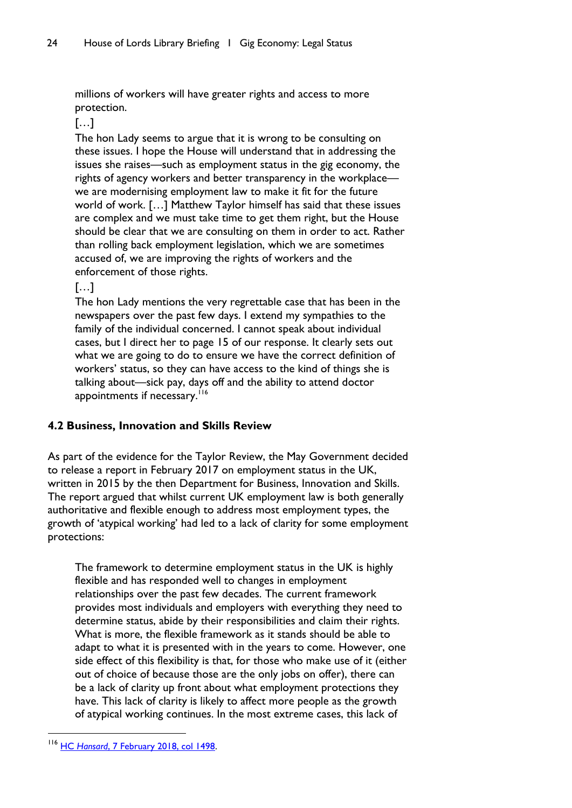millions of workers will have greater rights and access to more protection.

# […]

The hon Lady seems to argue that it is wrong to be consulting on these issues. I hope the House will understand that in addressing the issues she raises—such as employment status in the gig economy, the rights of agency workers and better transparency in the workplace we are modernising employment law to make it fit for the future world of work. […] Matthew Taylor himself has said that these issues are complex and we must take time to get them right, but the House should be clear that we are consulting on them in order to act. Rather than rolling back employment legislation, which we are sometimes accused of, we are improving the rights of workers and the enforcement of those rights.

# […]

The hon Lady mentions the very regrettable case that has been in the newspapers over the past few days. I extend my sympathies to the family of the individual concerned. I cannot speak about individual cases, but I direct her to page 15 of our response. It clearly sets out what we are going to do to ensure we have the correct definition of workers' status, so they can have access to the kind of things she is talking about—sick pay, days off and the ability to attend doctor appointments if necessary.<sup>116</sup>

# <span id="page-25-0"></span>**4.2 Business, Innovation and Skills Review**

As part of the evidence for the Taylor Review, the May Government decided to release a report in February 2017 on employment status in the UK, written in 2015 by the then Department for Business, Innovation and Skills. The report argued that whilst current UK employment law is both generally authoritative and flexible enough to address most employment types, the growth of 'atypical working' had led to a lack of clarity for some employment protections:

The framework to determine employment status in the UK is highly flexible and has responded well to changes in employment relationships over the past few decades. The current framework provides most individuals and employers with everything they need to determine status, abide by their responsibilities and claim their rights. What is more, the flexible framework as it stands should be able to adapt to what it is presented with in the years to come. However, one side effect of this flexibility is that, for those who make use of it (either out of choice of because those are the only jobs on offer), there can be a lack of clarity up front about what employment protections they have. This lack of clarity is likely to affect more people as the growth of atypical working continues. In the most extreme cases, this lack of

<sup>116</sup> HC *Hansard*[, 7 February 2018, col 1498.](https://hansard.parliament.uk/Commons/2018-02-07/debates/013751EE-843A-4AA5-A075-8FE742FE69BA/TaylorReview#contribution-30452935-67E7-4AC1-999D-E7577012F2FD)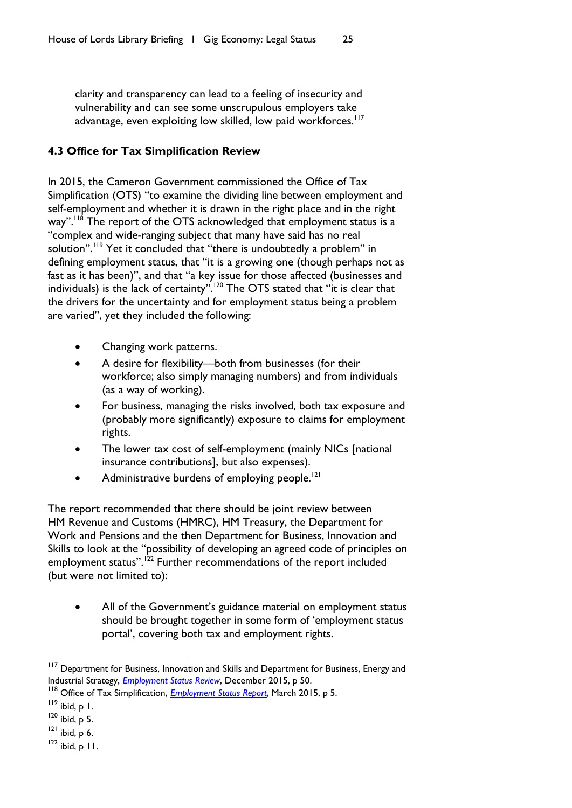clarity and transparency can lead to a feeling of insecurity and vulnerability and can see some unscrupulous employers take advantage, even exploiting low skilled, low paid workforces.<sup>117</sup>

# <span id="page-26-0"></span>**4.3 Office for Tax Simplification Review**

In 2015, the Cameron Government commissioned the Office of Tax Simplification (OTS) "to examine the dividing line between employment and self-employment and whether it is drawn in the right place and in the right way".<sup>118</sup> The report of the OTS acknowledged that employment status is a "complex and wide-ranging subject that many have said has no real solution".<sup>119</sup> Yet it concluded that "there is undoubtedly a problem" in defining employment status, that "it is a growing one (though perhaps not as fast as it has been)", and that "a key issue for those affected (businesses and individuals) is the lack of certainty".<sup>120</sup> The OTS stated that "it is clear that the drivers for the uncertainty and for employment status being a problem are varied", yet they included the following:

- Changing work patterns.
- A desire for flexibility—both from businesses (for their workforce; also simply managing numbers) and from individuals (as a way of working).
- For business, managing the risks involved, both tax exposure and (probably more significantly) exposure to claims for employment rights.
- The lower tax cost of self-employment (mainly NICs [national insurance contributions], but also expenses).
- Administrative burdens of employing people.<sup>121</sup>

The report recommended that there should be joint review between HM Revenue and Customs (HMRC), HM Treasury, the Department for Work and Pensions and the then Department for Business, Innovation and Skills to look at the "possibility of developing an agreed code of principles on employment status".<sup>122</sup> Further recommendations of the report included (but were not limited to):

 All of the Government's guidance material on employment status should be brought together in some form of 'employment status portal', covering both tax and employment rights.

<sup>&</sup>lt;sup>117</sup> Department for Business, Innovation and Skills and Department for Business, Energy and Industrial Strategy, *[Employment Status Review](https://www.gov.uk/government/uploads/system/uploads/attachment_data/file/585383/employment-status-review-2015.pdf)*, December 2015, p 50.

<sup>118</sup> Office of Tax Simplification, *[Employment Status Report](https://www.gov.uk/government/uploads/system/uploads/attachment_data/file/537432/OTS_Employment_Status_report_March_2016_u.pdf)*, March 2015, p 5.

<sup>119</sup> ibid, p 1.

 $120$  ibid, p 5.

 $121$  ibid, p 6.

 $122$  ibid, p 11.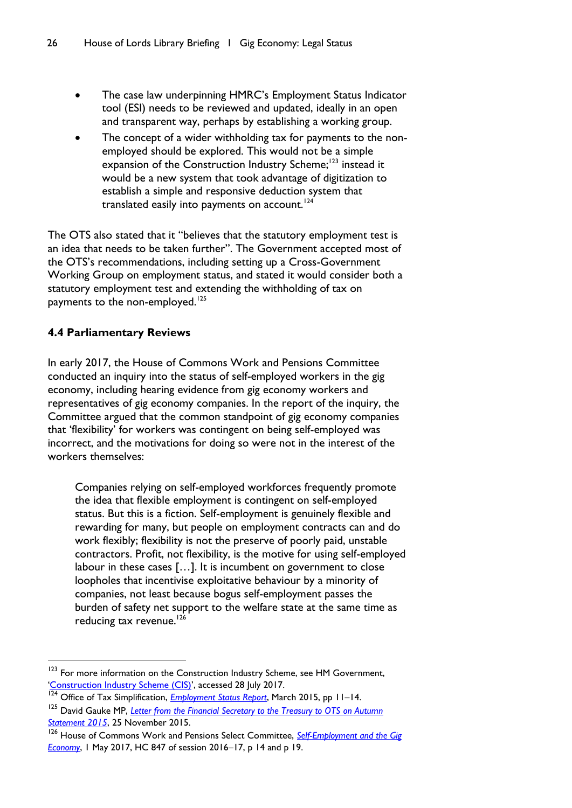- The case law underpinning HMRC's Employment Status Indicator tool (ESI) needs to be reviewed and updated, ideally in an open and transparent way, perhaps by establishing a working group.
- The concept of a wider withholding tax for payments to the nonemployed should be explored. This would not be a simple expansion of the Construction Industry Scheme;<sup>123</sup> instead it would be a new system that took advantage of digitization to establish a simple and responsive deduction system that translated easily into payments on account.<sup>124</sup>

The OTS also stated that it "believes that the statutory employment test is an idea that needs to be taken further". The Government accepted most of the OTS's recommendations, including setting up a Cross-Government Working Group on employment status, and stated it would consider both a statutory employment test and extending the withholding of tax on payments to the non-employed.<sup>125</sup>

# <span id="page-27-0"></span>**4.4 Parliamentary Reviews**

l

In early 2017, the House of Commons Work and Pensions Committee conducted an inquiry into the status of self-employed workers in the gig economy, including hearing evidence from gig economy workers and representatives of gig economy companies. In the report of the inquiry, the Committee argued that the common standpoint of gig economy companies that 'flexibility' for workers was contingent on being self-employed was incorrect, and the motivations for doing so were not in the interest of the workers themselves:

Companies relying on self-employed workforces frequently promote the idea that flexible employment is contingent on self-employed status. But this is a fiction. Self-employment is genuinely flexible and rewarding for many, but people on employment contracts can and do work flexibly; flexibility is not the preserve of poorly paid, unstable contractors. Profit, not flexibility, is the motive for using self-employed labour in these cases […]. It is incumbent on government to close loopholes that incentivise exploitative behaviour by a minority of companies, not least because bogus self-employment passes the burden of safety net support to the welfare state at the same time as reducing tax revenue. $126$ 

<sup>&</sup>lt;sup>123</sup> For more information on the Construction Industry Scheme, see HM Government, '[Construction Industry Scheme \(CIS\)](https://www.gov.uk/what-is-the-construction-industry-scheme)', accessed 28 July 2017.

<sup>&</sup>lt;sup>124</sup> Office of Tax Simplification, *[Employment Status Report](https://www.gov.uk/government/uploads/system/uploads/attachment_data/file/537432/OTS_Employment_Status_report_March_2016_u.pdf)*, March 2015, pp 11–14.

<sup>125</sup> David Gauke MP, *[Letter from the Financial Secretary to the Treasury to OTS on Autumn](http://webarchive.nationalarchives.gov.uk/20170428094331/https:/www.gov.uk/government/uploads/system/uploads/attachment_data/file/480002/FST_Update_on_Tax_Simplification_Measures.pdf)  [Statement 2015](http://webarchive.nationalarchives.gov.uk/20170428094331/https:/www.gov.uk/government/uploads/system/uploads/attachment_data/file/480002/FST_Update_on_Tax_Simplification_Measures.pdf)*, 25 November 2015.

<sup>126</sup> House of Commons Work and Pensions Select Committee, *[Self-Employment and the Gig](https://publications.parliament.uk/pa/cm201617/cmselect/cmworpen/847/847.pdf)  [Economy](https://publications.parliament.uk/pa/cm201617/cmselect/cmworpen/847/847.pdf)*, 1 May 2017, HC 847 of session 2016–17, p 14 and p 19.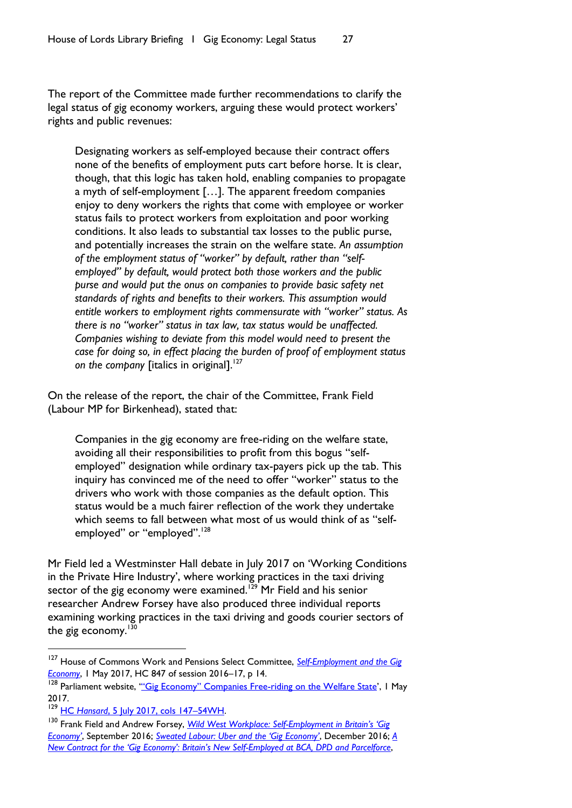The report of the Committee made further recommendations to clarify the legal status of gig economy workers, arguing these would protect workers' rights and public revenues:

Designating workers as self-employed because their contract offers none of the benefits of employment puts cart before horse. It is clear, though, that this logic has taken hold, enabling companies to propagate a myth of self-employment […]. The apparent freedom companies enjoy to deny workers the rights that come with employee or worker status fails to protect workers from exploitation and poor working conditions. It also leads to substantial tax losses to the public purse, and potentially increases the strain on the welfare state. *An assumption of the employment status of "worker" by default, rather than "selfemployed" by default, would protect both those workers and the public purse and would put the onus on companies to provide basic safety net standards of rights and benefits to their workers. This assumption would entitle workers to employment rights commensurate with "worker" status. As there is no "worker" status in tax law, tax status would be unaffected. Companies wishing to deviate from this model would need to present the case for doing so, in effect placing the burden of proof of employment status*  on the company *fitalics* in original].<sup>127</sup>

On the release of the report, the chair of the Committee, Frank Field (Labour MP for Birkenhead), stated that:

Companies in the gig economy are free-riding on the welfare state, avoiding all their responsibilities to profit from this bogus "selfemployed" designation while ordinary tax-payers pick up the tab. This inquiry has convinced me of the need to offer "worker" status to the drivers who work with those companies as the default option. This status would be a much fairer reflection of the work they undertake which seems to fall between what most of us would think of as "selfemployed" or "employed".<sup>128</sup>

Mr Field led a Westminster Hall debate in July 2017 on 'Working Conditions in the Private Hire Industry', where working practices in the taxi driving sector of the gig economy were examined.<sup>129</sup> Mr Field and his senior researcher Andrew Forsey have also produced three individual reports examining working practices in the taxi driving and goods courier sectors of the gig economy. $130$ 

<sup>127</sup> House of Commons Work and Pensions Select Committee, *[Self-Employment and the Gig](https://publications.parliament.uk/pa/cm201617/cmselect/cmworpen/847/847.pdf)  [Economy](https://publications.parliament.uk/pa/cm201617/cmselect/cmworpen/847/847.pdf)*, 1 May 2017, HC 847 of session 2016–17, p 14.

<sup>&</sup>lt;sup>128</sup> Parliament website, "<u>'Gig Economy" Companies F[ree-riding on the Welfare State](https://www.parliament.uk/business/committees/committees-a-z/commons-select/work-and-pensions-committee/news-parliament-2015/gig-economy-report-published-16-17/)</u>', I May 2017.

<sup>129</sup> HC *Hansard*[, 5 July 2017, cols 147](https://hansard.parliament.uk/Commons/2017-07-05/debates/B7AF48A3-631F-48B7-A910-5A0E03F95EEE/WorkingConditionsInThePrivateHireIndustry)–54WH.

<sup>130</sup> Frank Field and Andrew Forsey, *Wild West Workplace: Self-[Employment in Britain's 'Gig](http://www.frankfield.co.uk/upload/docs/Wild%20West%20Workplace.pdf)  [Economy'](http://www.frankfield.co.uk/upload/docs/Wild%20West%20Workplace.pdf)*, September 2016; *[Sweated Labour: Uber and the 'Gig Economy'](http://www.frankfield.co.uk/upload/docs/Sweated%20Labour%20-%20Uber%20and%20the%20%27gig%20economy%27.pdf)*, December 2016; *[A](http://www.frankfield.co.uk/upload/docs/A%20new%20contract%20for%20the%20%27gig%20economy%27.pdf)  [New Contract for the 'Gig Economy': Britain's New Self](http://www.frankfield.co.uk/upload/docs/A%20new%20contract%20for%20the%20%27gig%20economy%27.pdf)-Employed at BCA, DPD and Parcelforce*,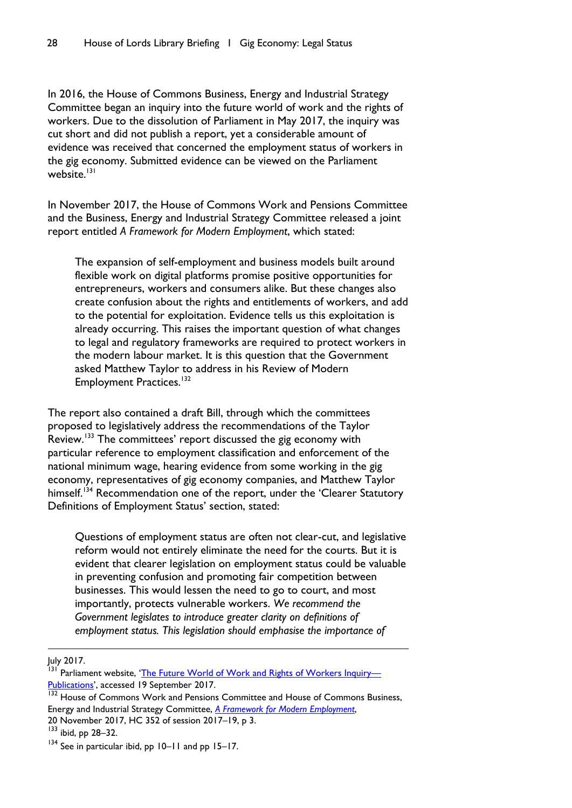In 2016, the House of Commons Business, Energy and Industrial Strategy Committee began an inquiry into the future world of work and the rights of workers. Due to the dissolution of Parliament in May 2017, the inquiry was cut short and did not publish a report, yet a considerable amount of evidence was received that concerned the employment status of workers in the gig economy. Submitted evidence can be viewed on the Parliament website $\frac{131}{131}$ 

In November 2017, the House of Commons Work and Pensions Committee and the Business, Energy and Industrial Strategy Committee released a joint report entitled *A Framework for Modern Employment*, which stated:

The expansion of self-employment and business models built around flexible work on digital platforms promise positive opportunities for entrepreneurs, workers and consumers alike. But these changes also create confusion about the rights and entitlements of workers, and add to the potential for exploitation. Evidence tells us this exploitation is already occurring. This raises the important question of what changes to legal and regulatory frameworks are required to protect workers in the modern labour market. It is this question that the Government asked Matthew Taylor to address in his Review of Modern Employment Practices.<sup>132</sup>

The report also contained a draft Bill, through which the committees proposed to legislatively address the recommendations of the Taylor Review.<sup>133</sup> The committees' report discussed the gig economy with particular reference to employment classification and enforcement of the national minimum wage, hearing evidence from some working in the gig economy, representatives of gig economy companies, and Matthew Taylor himself.<sup>134</sup> Recommendation one of the report, under the 'Clearer Statutory Definitions of Employment Status' section, stated:

Questions of employment status are often not clear-cut, and legislative reform would not entirely eliminate the need for the courts. But it is evident that clearer legislation on employment status could be valuable in preventing confusion and promoting fair competition between businesses. This would lessen the need to go to court, and most importantly, protects vulnerable workers. *We recommend the Government legislates to introduce greater clarity on definitions of employment status. This legislation should emphasise the importance of* 

July 2017.

<sup>&</sup>lt;sup>131</sup> Parliament website, '[The Future World of Work and Rights of Workers Inquiry](http://www.parliament.uk/business/committees/committees-a-z/commons-select/business-energy-industrial-strategy/inquiries/parliament-2015/the-future-world-of-work-and-rights-of-workers-16-17/publications/)— [Publications](http://www.parliament.uk/business/committees/committees-a-z/commons-select/business-energy-industrial-strategy/inquiries/parliament-2015/the-future-world-of-work-and-rights-of-workers-16-17/publications/)', accessed 19 September 2017.

<sup>&</sup>lt;sup>132</sup> House of Commons Work and Pensions Committee and House of Commons Business, Energy and Industrial Strategy Committee, *[A Framework for Modern Employment](https://publications.parliament.uk/pa/cm201719/cmselect/cmworpen/352/352.pdf)*, 20 November 2017, HC 352 of session 2017–19, p 3.

<sup>133</sup> ibid, pp 28-32.

<sup>&</sup>lt;sup>134</sup> See in particular ibid, pp 10–11 and pp 15–17.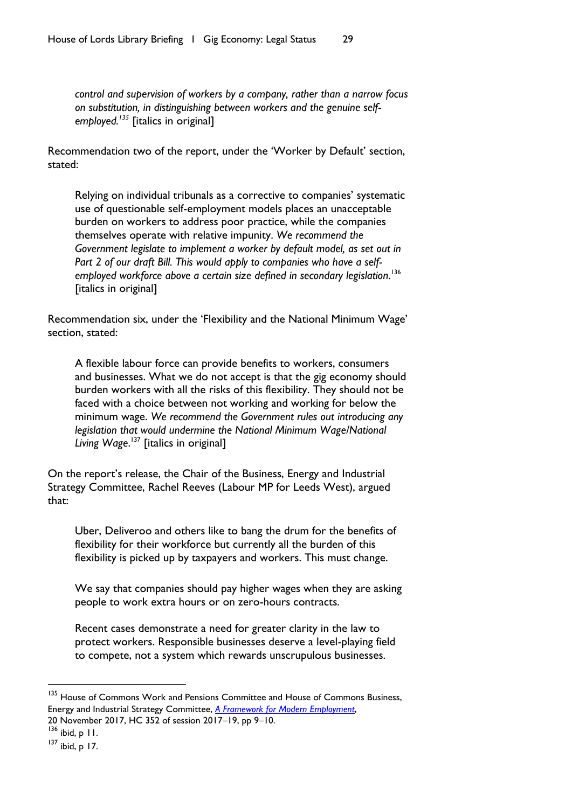*control and supervision of workers by a company, rather than a narrow focus on substitution, in distinguishing between workers and the genuine selfemployed.<sup>135</sup>* [italics in original]

Recommendation two of the report, under the 'Worker by Default' section, stated:

Relying on individual tribunals as a corrective to companies' systematic use of questionable self-employment models places an unacceptable burden on workers to address poor practice, while the companies themselves operate with relative impunity. *We recommend the Government legislate to implement a worker by default model, as set out in Part 2 of our draft Bill. This would apply to companies who have a selfemployed workforce above a certain size defined in secondary legislation*. 136 [italics in original]

Recommendation six, under the 'Flexibility and the National Minimum Wage' section, stated:

A flexible labour force can provide benefits to workers, consumers and businesses. What we do not accept is that the gig economy should burden workers with all the risks of this flexibility. They should not be faced with a choice between not working and working for below the minimum wage. *We recommend the Government rules out introducing any legislation that would undermine the National Minimum Wage/National Living Wage*. <sup>137</sup> [italics in original]

On the report's release, the Chair of the Business, Energy and Industrial Strategy Committee, Rachel Reeves (Labour MP for Leeds West), argued that:

Uber, Deliveroo and others like to bang the drum for the benefits of flexibility for their workforce but currently all the burden of this flexibility is picked up by taxpayers and workers. This must change.

We say that companies should pay higher wages when they are asking people to work extra hours or on zero-hours contracts.

Recent cases demonstrate a need for greater clarity in the law to protect workers. Responsible businesses deserve a level-playing field to compete, not a system which rewards unscrupulous businesses.

<sup>&</sup>lt;sup>135</sup> House of Commons Work and Pensions Committee and House of Commons Business, Energy and Industrial Strategy Committee, *[A Framework for Modern Employment](https://publications.parliament.uk/pa/cm201719/cmselect/cmworpen/352/352.pdf)*,

<sup>20</sup> November 2017, HC 352 of session 2017–19, pp 9–10.  $136$  ibid, p  $11$ .

 $137$  ibid, p 17.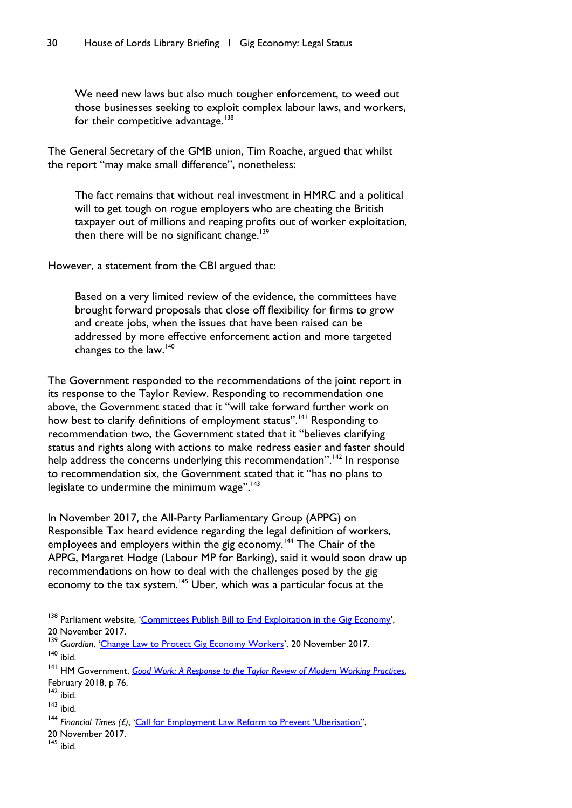We need new laws but also much tougher enforcement, to weed out those businesses seeking to exploit complex labour laws, and workers, for their competitive advantage.<sup>138</sup>

The General Secretary of the GMB union, Tim Roache, argued that whilst the report "may make small difference", nonetheless:

The fact remains that without real investment in HMRC and a political will to get tough on rogue employers who are cheating the British taxpayer out of millions and reaping profits out of worker exploitation, then there will be no significant change.<sup>139</sup>

However, a statement from the CBI argued that:

Based on a very limited review of the evidence, the committees have brought forward proposals that close off flexibility for firms to grow and create jobs, when the issues that have been raised can be addressed by more effective enforcement action and more targeted changes to the law.<sup>140</sup>

The Government responded to the recommendations of the joint report in its response to the Taylor Review. Responding to recommendation one above, the Government stated that it "will take forward further work on how best to clarify definitions of employment status".<sup>141</sup> Responding to recommendation two, the Government stated that it "believes clarifying status and rights along with actions to make redress easier and faster should help address the concerns underlying this recommendation".<sup>142</sup> In response to recommendation six, the Government stated that it "has no plans to legislate to undermine the minimum wage". $143$ 

In November 2017, the All-Party Parliamentary Group (APPG) on Responsible Tax heard evidence regarding the legal definition of workers, employees and employers within the gig economy.<sup>144</sup> The Chair of the APPG, Margaret Hodge (Labour MP for Barking), said it would soon draw up recommendations on how to deal with the challenges posed by the gig economy to the tax system.<sup>145</sup> Uber, which was a particular focus at the

 $\overline{a}$ 

<sup>&</sup>lt;sup>138</sup> Parliament website, '[Committees Publish Bill to End Exploitation in the Gig Economy](http://www.parliament.uk/business/committees/committees-a-z/commons-select/work-and-pensions-committee/news-parliament-2017/future-of-work-report-17-19/)', 20 November 2017.

<sup>&</sup>lt;sup>139</sup> Guardian, '[Change Law to Protect Gig Economy Workers](https://www.theguardian.com/business/2017/nov/20/change-law-protect-gig-economy-workers-mps-report-urges)', 20 November 2017.  $140$  ibid.

<sup>141</sup> HM Government, *[Good Work: A Response to the Taylor Review of Modern Working Practices](https://www.gov.uk/government/uploads/system/uploads/attachment_data/file/679767/180206_BEIS_Good_Work_Report__Accessible_A4_.pdf)*, February 2018, p 76.

 $142$  ibid.

 $143$  ibid.

<sup>144</sup> *Financial Times (£)*, ['Call for Employment Law Reform to Prevent 'Uberisation''](https://www.ft.com/content/32b65706-ce16-11e7-9dbb-291a884dd8c6),

<sup>20</sup> November 2017.

 $145$  ibid.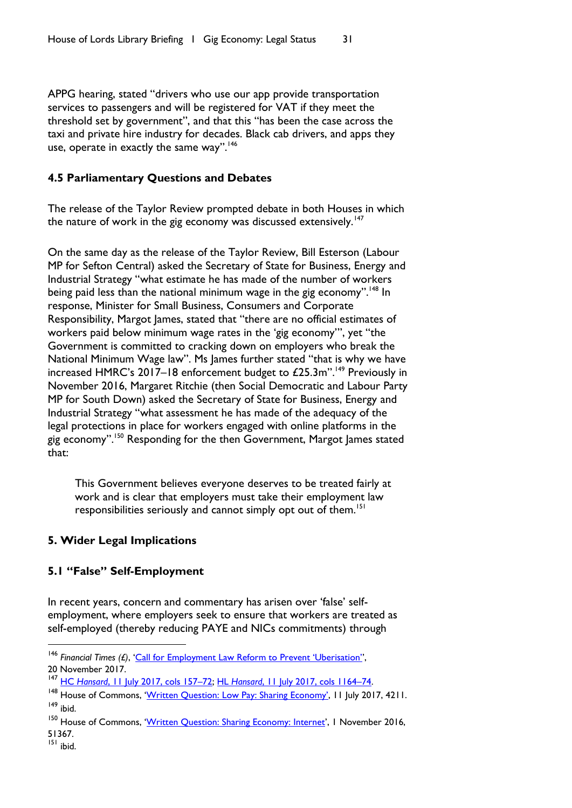APPG hearing, stated "drivers who use our app provide transportation services to passengers and will be registered for VAT if they meet the threshold set by government", and that this "has been the case across the taxi and private hire industry for decades. Black cab drivers, and apps they use, operate in exactly the same way".<sup>146</sup>

### <span id="page-32-0"></span>**4.5 Parliamentary Questions and Debates**

The release of the Taylor Review prompted debate in both Houses in which the nature of work in the gig economy was discussed extensively. $147$ 

On the same day as the release of the Taylor Review, Bill Esterson (Labour MP for Sefton Central) asked the Secretary of State for Business, Energy and Industrial Strategy "what estimate he has made of the number of workers being paid less than the national minimum wage in the gig economy".<sup>148</sup> In response, Minister for Small Business, Consumers and Corporate Responsibility, Margot James, stated that "there are no official estimates of workers paid below minimum wage rates in the 'gig economy'", yet "the Government is committed to cracking down on employers who break the National Minimum Wage law". Ms James further stated "that is why we have increased HMRC's 2017–18 enforcement budget to  $£25.3m$ ".<sup>149</sup> Previously in November 2016, Margaret Ritchie (then Social Democratic and Labour Party MP for South Down) asked the Secretary of State for Business, Energy and Industrial Strategy "what assessment he has made of the adequacy of the legal protections in place for workers engaged with online platforms in the gig economy".<sup>150</sup> Responding for the then Government, Margot James stated that:

This Government believes everyone deserves to be treated fairly at work and is clear that employers must take their employment law responsibilities seriously and cannot simply opt out of them.<sup>151</sup>

# <span id="page-32-1"></span>**5. Wider Legal Implications**

# **5.1 "False" Self-Employment**

In recent years, concern and commentary has arisen over 'false' selfemployment, where employers seek to ensure that workers are treated as self-employed (thereby reducing PAYE and NICs commitments) through

<sup>146</sup> *Financial Times (£)*, 'Call f[or Employment Law Reform to Prevent 'Uberisation'',](https://www.ft.com/content/32b65706-ce16-11e7-9dbb-291a884dd8c6) 20 November 2017.

<sup>147</sup> HC *Hansard*[, 11 July 2017, cols 157](https://hansard.parliament.uk/Commons/2017-07-11/debates/90132D51-C8E3-41EB-84E4-6D9C99AE9A50/TaylorReviewWorkingPractices)–72; HL *Hansard*[, 11 July 2017, cols 1164](https://hansard.parliament.uk/Lords/2017-07-11/debates/805C6758-D847-475F-98D2-49F75499FAF8/TaylorReviewOfModernWorkingPractices)–74.

<sup>&</sup>lt;sup>148</sup> House of Commons, 'Written Question: [Low Pay: Sharing Economy'](http://www.parliament.uk/written-questions-answers-statements/written-question/commons/2017-07-11/4211), 11 July 2017, 4211. <sup>149</sup> ibid.

<sup>&</sup>lt;sup>150</sup> House of Commons, '[Written Question: Sharing Economy: Internet](http://www.parliament.uk/written-questions-answers-statements/written-question/commons/2016-11-01/51367)', 1 November 2016, 51367.

<sup>151</sup> ibid.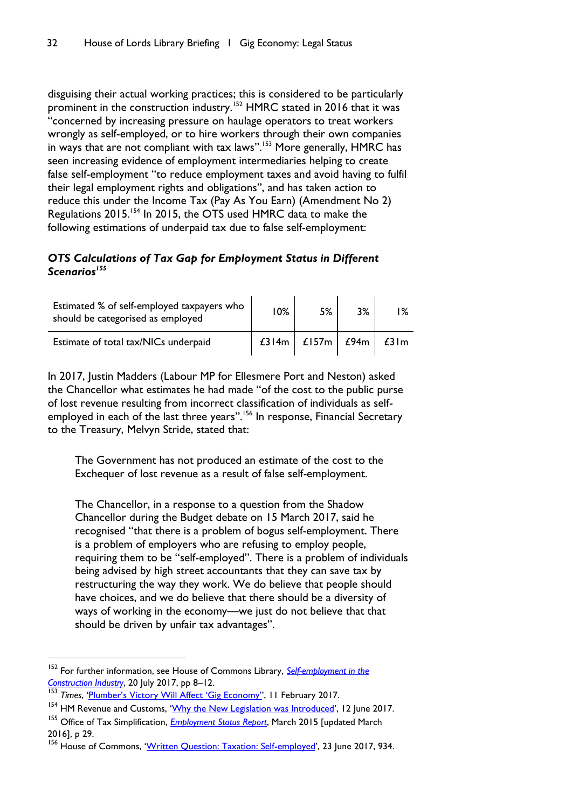disguising their actual working practices; this is considered to be particularly prominent in the construction industry.<sup>152</sup> HMRC stated in 2016 that it was "concerned by increasing pressure on haulage operators to treat workers wrongly as self-employed, or to hire workers through their own companies in ways that are not compliant with tax laws".<sup>153</sup> More generally, HMRC has seen increasing evidence of employment intermediaries helping to create false self-employment "to reduce employment taxes and avoid having to fulfil their legal employment rights and obligations", and has taken action to reduce this under the Income Tax (Pay As You Earn) (Amendment No 2) Regulations 2015.<sup>154</sup> In 2015, the OTS used HMRC data to make the following estimations of underpaid tax due to false self-employment:

# *OTS Calculations of Tax Gap for Employment Status in Different Scenarios<sup>155</sup>*

| Estimated % of self-employed taxpayers who<br>should be categorised as employed | <b>10%</b> | 5%    | 3%   | $1\%$ |
|---------------------------------------------------------------------------------|------------|-------|------|-------|
| Estimate of total tax/NICs underpaid                                            | $£314m$    | £157m | £94m | £31m  |

In 2017, Justin Madders (Labour MP for Ellesmere Port and Neston) asked the Chancellor what estimates he had made "of the cost to the public purse of lost revenue resulting from incorrect classification of individuals as selfemployed in each of the last three years".<sup>156</sup> In response, Financial Secretary to the Treasury, Melvyn Stride, stated that:

The Government has not produced an estimate of the cost to the Exchequer of lost revenue as a result of false self-employment.

The Chancellor, in a response to a question from the Shadow Chancellor during the Budget debate on 15 March 2017, said he recognised "that there is a problem of bogus self-employment. There is a problem of employers who are refusing to employ people, requiring them to be "self-employed". There is a problem of individuals being advised by high street accountants that they can save tax by restructuring the way they work. We do believe that people should have choices, and we do believe that there should be a diversity of ways of working in the economy—we just do not believe that that should be driven by unfair tax advantages".

<sup>152</sup> For further information, see House of Commons Library, *[Self-employment in the](http://researchbriefings.files.parliament.uk/documents/SN00196/SN00196.pdf)  [Construction Industry](http://researchbriefings.files.parliament.uk/documents/SN00196/SN00196.pdf)*, 20 July 2017, pp 8–12.

<sup>153</sup> *Times*, ['Plumber's Victory Will Affect 'Gig Economy'',](https://www.thetimes.co.uk/article/plumbers-victory-will-affect-gig-economy-00292mrcq) 11 February 2017.

<sup>154</sup> HM Revenue and Customs, '[Why the New Legislation was Introduced](https://www.gov.uk/government/publications/employment-intermediaries-reporting-requirements/why-the-new-legislation-was-introduced)', 12 June 2017.

<sup>155</sup> Office of Tax Simplification, *[Employment Status Report](https://www.gov.uk/government/uploads/system/uploads/attachment_data/file/537432/OTS_Employment_Status_report_March_2016_u.pdf)*, March 2015 [updated March 2016], p 29.

<sup>&</sup>lt;sup>156</sup> House of Commons, '[Written Question: Taxation: Self-employed](http://www.parliament.uk/written-questions-answers-statements/written-question/commons/2017-06-23/934)', 23 June 2017, 934.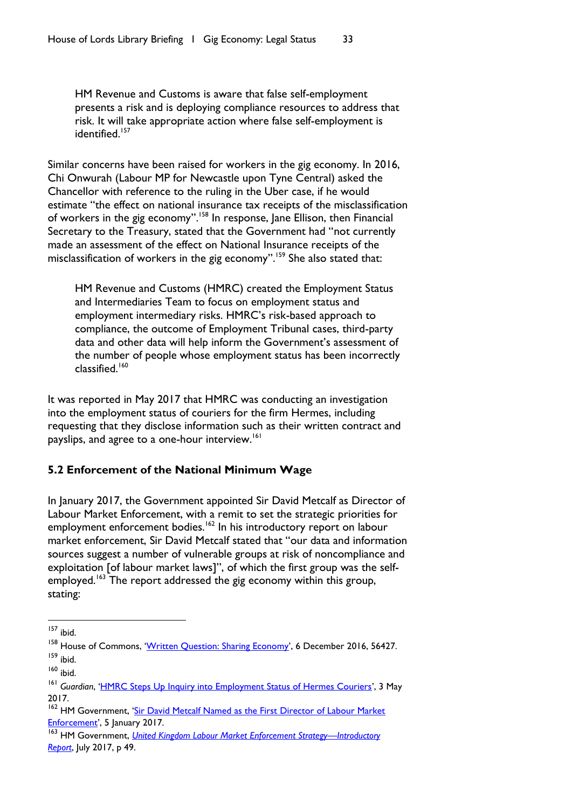HM Revenue and Customs is aware that false self-employment presents a risk and is deploying compliance resources to address that risk. It will take appropriate action where false self-employment is identified.<sup>157</sup>

Similar concerns have been raised for workers in the gig economy. In 2016, Chi Onwurah (Labour MP for Newcastle upon Tyne Central) asked the Chancellor with reference to the ruling in the Uber case, if he would estimate "the effect on national insurance tax receipts of the misclassification of workers in the gig economy".<sup>158</sup> In response, Jane Ellison, then Financial Secretary to the Treasury, stated that the Government had "not currently made an assessment of the effect on National Insurance receipts of the misclassification of workers in the gig economy".<sup>159</sup> She also stated that:

HM Revenue and Customs (HMRC) created the Employment Status and Intermediaries Team to focus on employment status and employment intermediary risks. HMRC's risk-based approach to compliance, the outcome of Employment Tribunal cases, third-party data and other data will help inform the Government's assessment of the number of people whose employment status has been incorrectly classified.<sup>160</sup>

It was reported in May 2017 that HMRC was conducting an investigation into the employment status of couriers for the firm Hermes, including requesting that they disclose information such as their written contract and payslips, and agree to a one-hour interview.<sup>161</sup>

# <span id="page-34-0"></span>**5.2 Enforcement of the National Minimum Wage**

In January 2017, the Government appointed Sir David Metcalf as Director of Labour Market Enforcement, with a remit to set the strategic priorities for employment enforcement bodies.<sup>162</sup> In his introductory report on labour market enforcement, Sir David Metcalf stated that "our data and information sources suggest a number of vulnerable groups at risk of noncompliance and exploitation [of labour market laws]", of which the first group was the selfemployed.<sup>163</sup> The report addressed the gig economy within this group, stating:

<sup>157</sup> ibid.

<sup>&</sup>lt;sup>158</sup> House of Commons, '[Written Question: Sharing Economy](http://www.parliament.uk/written-questions-answers-statements/written-question/commons/2016-12-06/56427)', 6 December 2016, 56427. <sup>159</sup> ibid.

<sup>160</sup> ibid.

<sup>161</sup> *Guardian*, '[HMRC Steps Up Inquiry into Employment Status of Hermes Couriers](https://www.theguardian.com/business/2017/may/03/hmrc-steps-up-investigation-into-employment-status-of-hermes-couriers)', 3 May 2017.

<sup>&</sup>lt;sup>162</sup> HM Government, 'Sir David Metcalf Named as the First Director of Labour Market [Enforcement](https://www.gov.uk/government/news/sir-david-metcalf-named-as-the-first-director-of-labour-market-enforcement)', 5 January 2017.

<sup>163</sup> HM Government, *[United Kingdom Labour Market Enforcement Strategy](https://www.gov.uk/government/uploads/system/uploads/attachment_data/file/629872/labour-market-enforcement-strategy-introductory-report.pdf)—Introductory [Report](https://www.gov.uk/government/uploads/system/uploads/attachment_data/file/629872/labour-market-enforcement-strategy-introductory-report.pdf)*, July 2017, p 49.